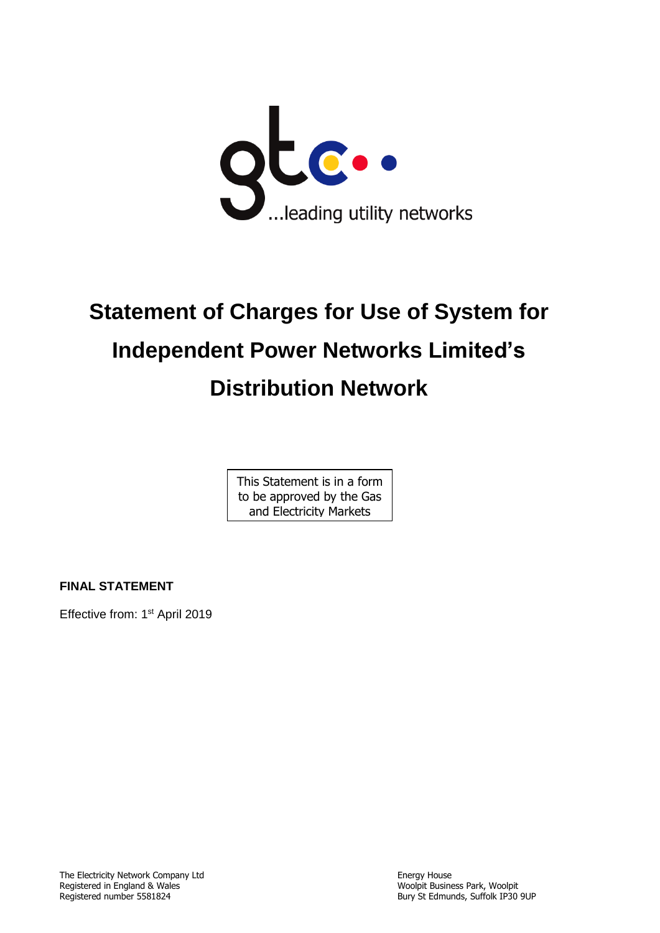

# **Statement of Charges for Use of System for Independent Power Networks Limited's Distribution Network**

This Statement is in a form to be approved by the Gas and Electricity Markets

Authority

**FINAL STATEMENT**

Effective from: 1<sup>st</sup> April 2019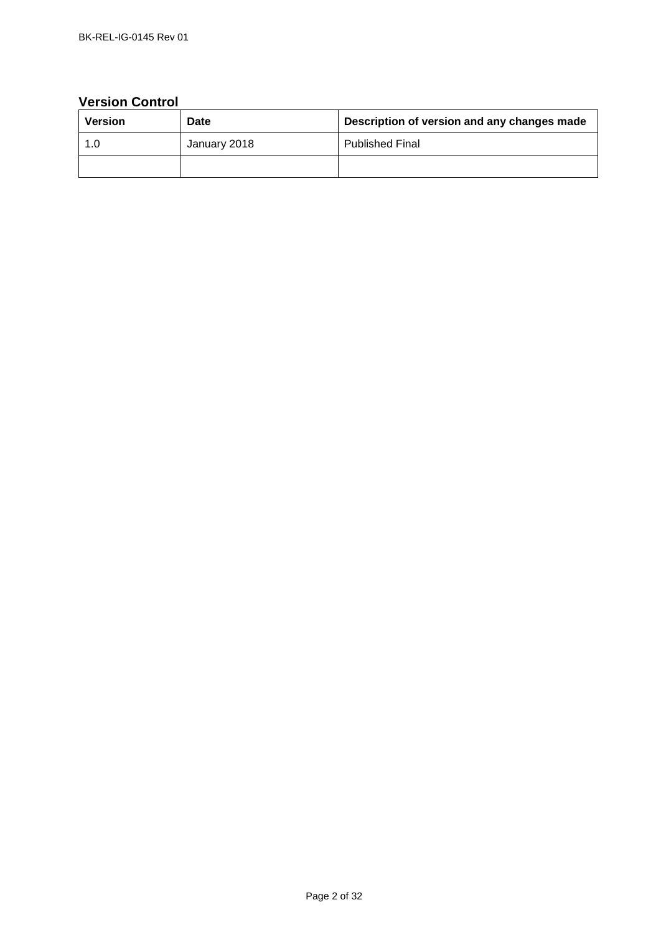# **Version Control**

| Version | Date         | Description of version and any changes made |
|---------|--------------|---------------------------------------------|
| 1.0     | January 2018 | <b>Published Final</b>                      |
|         |              |                                             |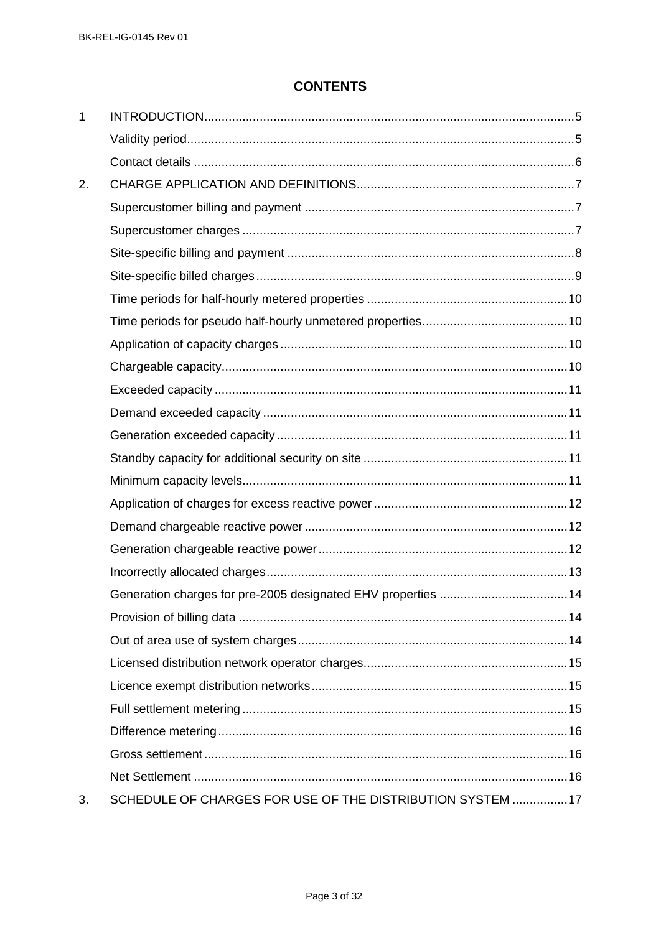# **CONTENTS**

| 1  |                                                               |  |
|----|---------------------------------------------------------------|--|
|    |                                                               |  |
|    |                                                               |  |
| 2. |                                                               |  |
|    |                                                               |  |
|    |                                                               |  |
|    |                                                               |  |
|    |                                                               |  |
|    |                                                               |  |
|    |                                                               |  |
|    |                                                               |  |
|    |                                                               |  |
|    |                                                               |  |
|    |                                                               |  |
|    |                                                               |  |
|    |                                                               |  |
|    |                                                               |  |
|    |                                                               |  |
|    |                                                               |  |
|    |                                                               |  |
|    |                                                               |  |
|    | Generation charges for pre-2005 designated EHV properties  14 |  |
|    |                                                               |  |
|    |                                                               |  |
|    |                                                               |  |
|    |                                                               |  |
|    |                                                               |  |
|    |                                                               |  |
|    |                                                               |  |
|    |                                                               |  |
| 3. | SCHEDULE OF CHARGES FOR USE OF THE DISTRIBUTION SYSTEM  17    |  |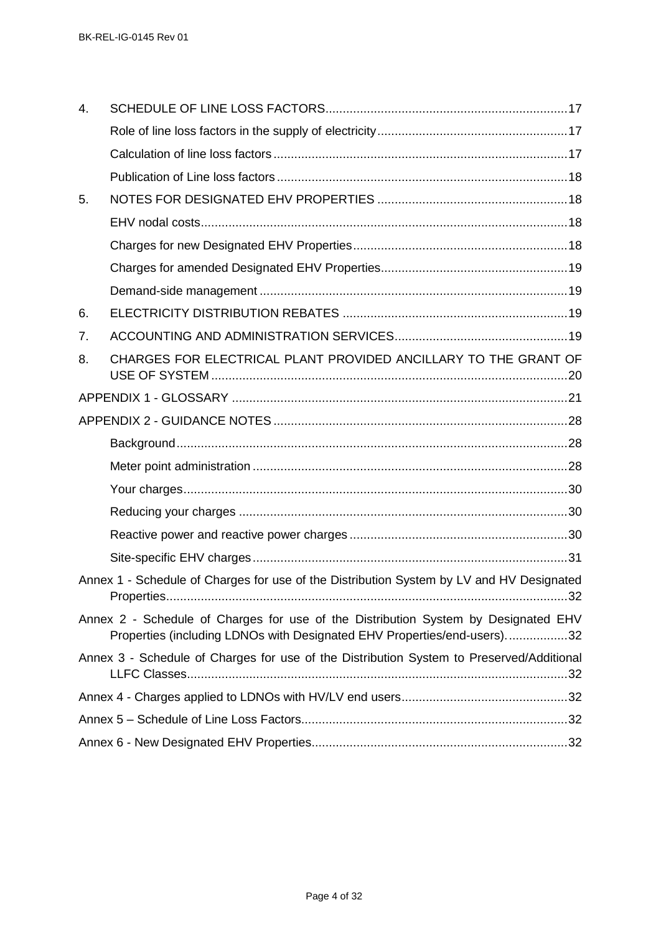| 4. |                                                                                                                                                               |  |
|----|---------------------------------------------------------------------------------------------------------------------------------------------------------------|--|
|    |                                                                                                                                                               |  |
|    |                                                                                                                                                               |  |
|    |                                                                                                                                                               |  |
| 5. |                                                                                                                                                               |  |
|    |                                                                                                                                                               |  |
|    |                                                                                                                                                               |  |
|    |                                                                                                                                                               |  |
|    |                                                                                                                                                               |  |
| 6. |                                                                                                                                                               |  |
| 7. |                                                                                                                                                               |  |
| 8. | CHARGES FOR ELECTRICAL PLANT PROVIDED ANCILLARY TO THE GRANT OF                                                                                               |  |
|    |                                                                                                                                                               |  |
|    |                                                                                                                                                               |  |
|    |                                                                                                                                                               |  |
|    |                                                                                                                                                               |  |
|    |                                                                                                                                                               |  |
|    |                                                                                                                                                               |  |
|    |                                                                                                                                                               |  |
|    |                                                                                                                                                               |  |
|    | Annex 1 - Schedule of Charges for use of the Distribution System by LV and HV Designated                                                                      |  |
|    | Annex 2 - Schedule of Charges for use of the Distribution System by Designated EHV<br>Properties (including LDNOs with Designated EHV Properties/end-users)32 |  |
|    | Annex 3 - Schedule of Charges for use of the Distribution System to Preserved/Additional                                                                      |  |
|    |                                                                                                                                                               |  |
|    |                                                                                                                                                               |  |
|    |                                                                                                                                                               |  |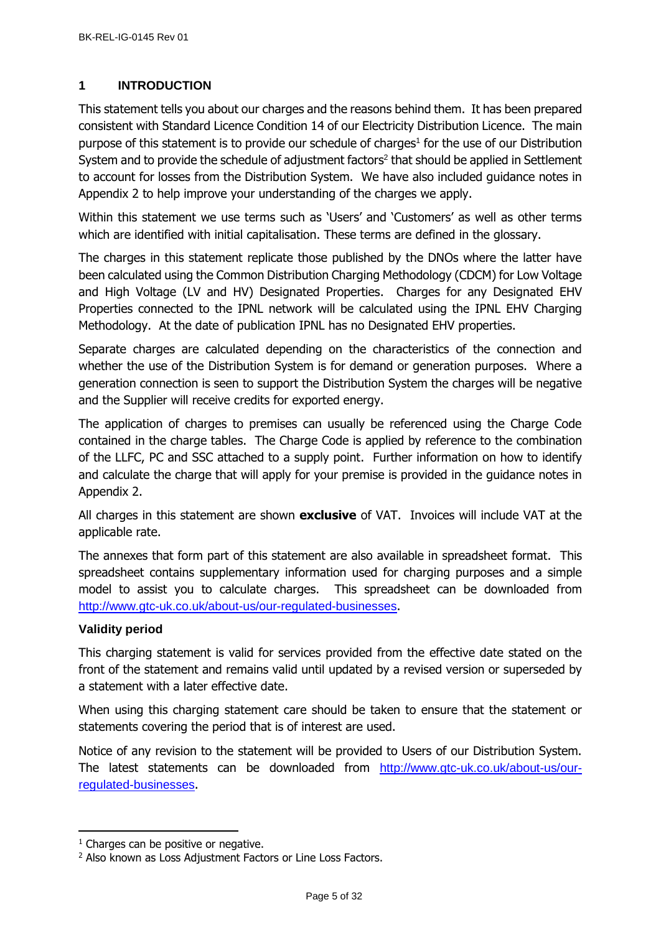# <span id="page-4-0"></span>**1 INTRODUCTION**

This statement tells you about our charges and the reasons behind them. It has been prepared consistent with Standard Licence Condition 14 of our Electricity Distribution Licence. The main purpose of this statement is to provide our schedule of charges<sup>1</sup> for the use of our Distribution System and to provide the schedule of adjustment factors<sup>2</sup> that should be applied in Settlement to account for losses from the Distribution System. We have also included guidance notes in Appendix 2 to help improve your understanding of the charges we apply.

Within this statement we use terms such as 'Users' and 'Customers' as well as other terms which are identified with initial capitalisation. These terms are defined in the glossary.

The charges in this statement replicate those published by the DNOs where the latter have been calculated using the Common Distribution Charging Methodology (CDCM) for Low Voltage and High Voltage (LV and HV) Designated Properties. Charges for any Designated EHV Properties connected to the IPNL network will be calculated using the IPNL EHV Charging Methodology. At the date of publication IPNL has no Designated EHV properties.

Separate charges are calculated depending on the characteristics of the connection and whether the use of the Distribution System is for demand or generation purposes. Where a generation connection is seen to support the Distribution System the charges will be negative and the Supplier will receive credits for exported energy.

The application of charges to premises can usually be referenced using the Charge Code contained in the charge tables. The Charge Code is applied by reference to the combination of the LLFC, PC and SSC attached to a supply point. Further information on how to identify and calculate the charge that will apply for your premise is provided in the guidance notes in Appendix 2.

All charges in this statement are shown **exclusive** of VAT. Invoices will include VAT at the applicable rate.

The annexes that form part of this statement are also available in spreadsheet format. This spreadsheet contains supplementary information used for charging purposes and a simple model to assist you to calculate charges. This spreadsheet can be downloaded from <http://www.gtc-uk.co.uk/about-us/our-regulated-businesses>.

# <span id="page-4-1"></span>**Validity period**

j

This charging statement is valid for services provided from the effective date stated on the front of the statement and remains valid until updated by a revised version or superseded by a statement with a later effective date.

When using this charging statement care should be taken to ensure that the statement or statements covering the period that is of interest are used.

Notice of any revision to the statement will be provided to Users of our Distribution System. The latest statements can be downloaded from [http://www.gtc-uk.co.uk/about-us/our](http://www.gtc-uk.co.uk/about-us/our-regulated-businesses)[regulated-businesses](http://www.gtc-uk.co.uk/about-us/our-regulated-businesses).

 $1$  Charges can be positive or negative.

<sup>&</sup>lt;sup>2</sup> Also known as Loss Adjustment Factors or Line Loss Factors.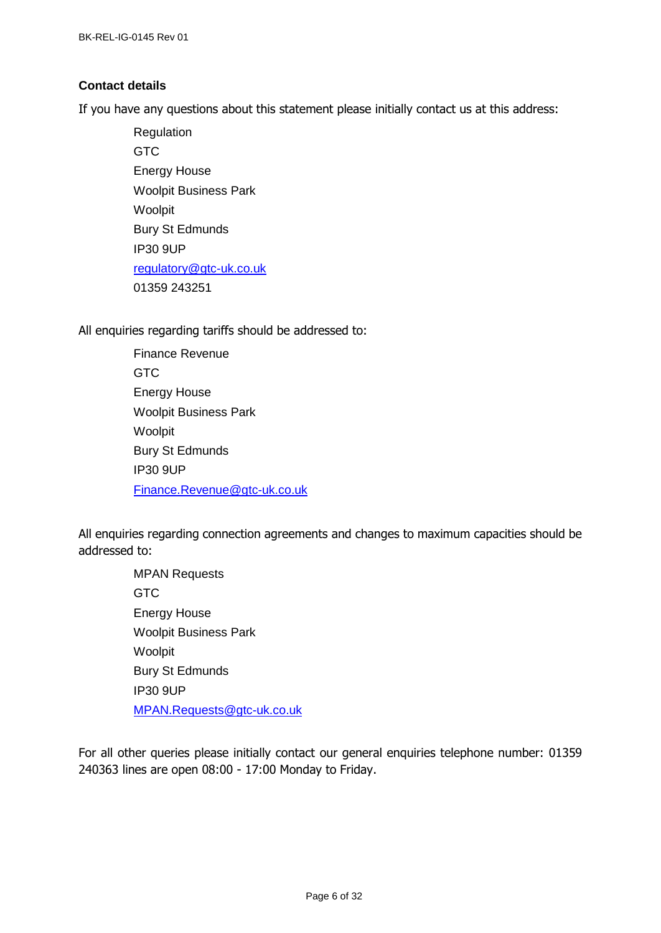# <span id="page-5-0"></span>**Contact details**

If you have any questions about this statement please initially contact us at this address:

Regulation GTC Energy House Woolpit Business Park Woolpit Bury St Edmunds IP30 9UP [regulatory@gtc-uk.co.uk](mailto:regulatory@gtc-uk.co.uk) 01359 243251

<span id="page-5-1"></span>All enquiries regarding tariffs should be addressed to:

Finance Revenue **GTC** Energy House Woolpit Business Park Woolpit Bury St Edmunds IP30 9UP [Finance.Revenue@gtc-uk.co.uk](mailto:Finance.Revenue@gtc-uk.co.uk)

All enquiries regarding connection agreements and changes to maximum capacities should be addressed to:

> MPAN Requests **GTC** Energy House Woolpit Business Park Woolpit Bury St Edmunds IP30 9UP [MPAN.Requests@gtc-uk.co.uk](file:///C:/Users/neil.brinkley/AppData/Local/Microsoft/Windows/INetCache/Content.Outlook/G1I01KIK/MPAN.Requests@gtc-uk.co.uk)

For all other queries please initially contact our general enquiries telephone number: 01359 240363 lines are open 08:00 - 17:00 Monday to Friday.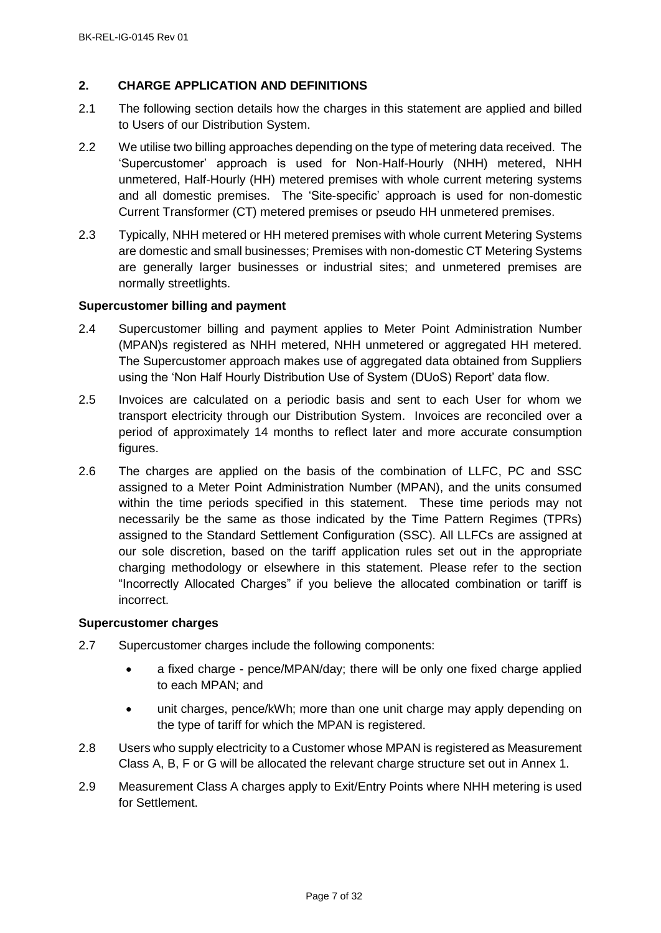# <span id="page-6-0"></span>**2. CHARGE APPLICATION AND DEFINITIONS**

- 2.1 The following section details how the charges in this statement are applied and billed to Users of our Distribution System.
- 2.2 We utilise two billing approaches depending on the type of metering data received. The 'Supercustomer' approach is used for Non-Half-Hourly (NHH) metered, NHH unmetered, Half-Hourly (HH) metered premises with whole current metering systems and all domestic premises. The 'Site-specific' approach is used for non-domestic Current Transformer (CT) metered premises or pseudo HH unmetered premises.
- 2.3 Typically, NHH metered or HH metered premises with whole current Metering Systems are domestic and small businesses; Premises with non-domestic CT Metering Systems are generally larger businesses or industrial sites; and unmetered premises are normally streetlights.

# <span id="page-6-1"></span>**Supercustomer billing and payment**

- 2.4 Supercustomer billing and payment applies to Meter Point Administration Number (MPAN)s registered as NHH metered, NHH unmetered or aggregated HH metered. The Supercustomer approach makes use of aggregated data obtained from Suppliers using the 'Non Half Hourly Distribution Use of System (DUoS) Report' data flow.
- 2.5 Invoices are calculated on a periodic basis and sent to each User for whom we transport electricity through our Distribution System. Invoices are reconciled over a period of approximately 14 months to reflect later and more accurate consumption figures.
- 2.6 The charges are applied on the basis of the combination of LLFC, PC and SSC assigned to a Meter Point Administration Number (MPAN), and the units consumed within the time periods specified in this statement. These time periods may not necessarily be the same as those indicated by the Time Pattern Regimes (TPRs) assigned to the Standard Settlement Configuration (SSC). All LLFCs are assigned at our sole discretion, based on the tariff application rules set out in the appropriate charging methodology or elsewhere in this statement. Please refer to the section "Incorrectly Allocated Charges" if you believe the allocated combination or tariff is incorrect.

#### <span id="page-6-2"></span>**Supercustomer charges**

- 2.7 Supercustomer charges include the following components:
	- a fixed charge pence/MPAN/day; there will be only one fixed charge applied to each MPAN; and
	- unit charges, pence/kWh; more than one unit charge may apply depending on the type of tariff for which the MPAN is registered.
- 2.8 Users who supply electricity to a Customer whose MPAN is registered as Measurement Class A, B, F or G will be allocated the relevant charge structure set out in Annex 1.
- 2.9 Measurement Class A charges apply to Exit/Entry Points where NHH metering is used for Settlement.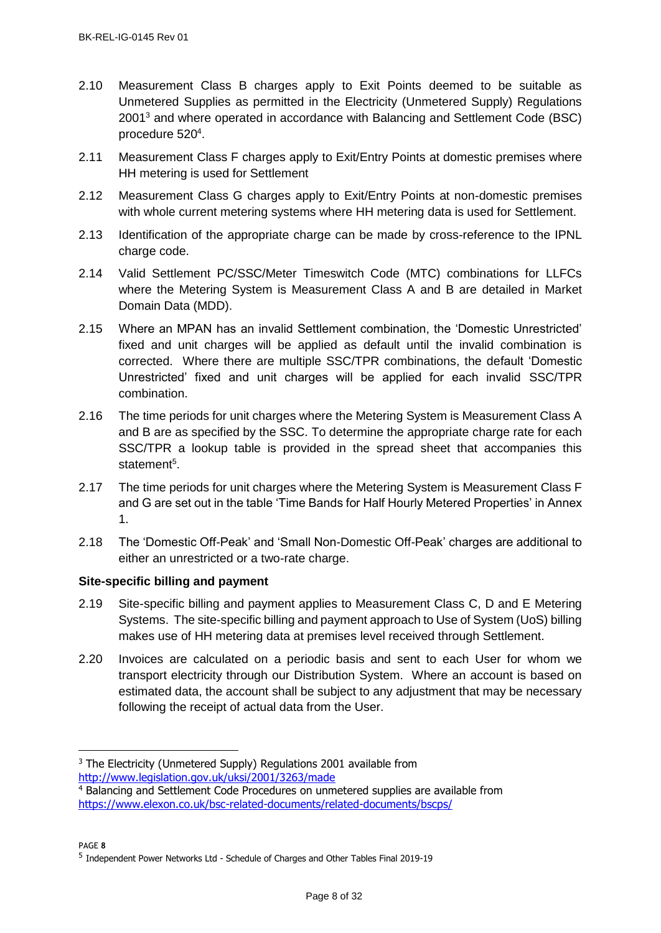- 2.10 Measurement Class B charges apply to Exit Points deemed to be suitable as Unmetered Supplies as permitted in the Electricity (Unmetered Supply) Regulations 2001<sup>3</sup> and where operated in accordance with Balancing and Settlement Code (BSC) procedure 520<sup>4</sup>.
- 2.11 Measurement Class F charges apply to Exit/Entry Points at domestic premises where HH metering is used for Settlement
- 2.12 Measurement Class G charges apply to Exit/Entry Points at non-domestic premises with whole current metering systems where HH metering data is used for Settlement.
- 2.13 Identification of the appropriate charge can be made by cross-reference to the IPNL charge code.
- 2.14 Valid Settlement PC/SSC/Meter Timeswitch Code (MTC) combinations for LLFCs where the Metering System is Measurement Class A and B are detailed in Market Domain Data (MDD).
- 2.15 Where an MPAN has an invalid Settlement combination, the 'Domestic Unrestricted' fixed and unit charges will be applied as default until the invalid combination is corrected. Where there are multiple SSC/TPR combinations, the default 'Domestic Unrestricted' fixed and unit charges will be applied for each invalid SSC/TPR combination.
- 2.16 The time periods for unit charges where the Metering System is Measurement Class A and B are as specified by the SSC. To determine the appropriate charge rate for each SSC/TPR a lookup table is provided in the spread sheet that accompanies this statement<sup>5</sup>.
- 2.17 The time periods for unit charges where the Metering System is Measurement Class F and G are set out in the table 'Time Bands for Half Hourly Metered Properties' in Annex 1.
- 2.18 The 'Domestic Off-Peak' and 'Small Non-Domestic Off-Peak' charges are additional to either an unrestricted or a two-rate charge.

# <span id="page-7-0"></span>**Site-specific billing and payment**

- 2.19 Site-specific billing and payment applies to Measurement Class C, D and E Metering Systems. The site-specific billing and payment approach to Use of System (UoS) billing makes use of HH metering data at premises level received through Settlement.
- 2.20 Invoices are calculated on a periodic basis and sent to each User for whom we transport electricity through our Distribution System. Where an account is based on estimated data, the account shall be subject to any adjustment that may be necessary following the receipt of actual data from the User.

PAGE **8**

 $\overline{a}$ 

<sup>&</sup>lt;sup>3</sup> The Electricity (Unmetered Supply) Regulations 2001 available from <http://www.legislation.gov.uk/uksi/2001/3263/made>

<sup>4</sup> Balancing and Settlement Code Procedures on unmetered supplies are available from <https://www.elexon.co.uk/bsc-related-documents/related-documents/bscps/>

<sup>&</sup>lt;sup>5</sup> Independent Power Networks Ltd - Schedule of Charges and Other Tables Final 2019-19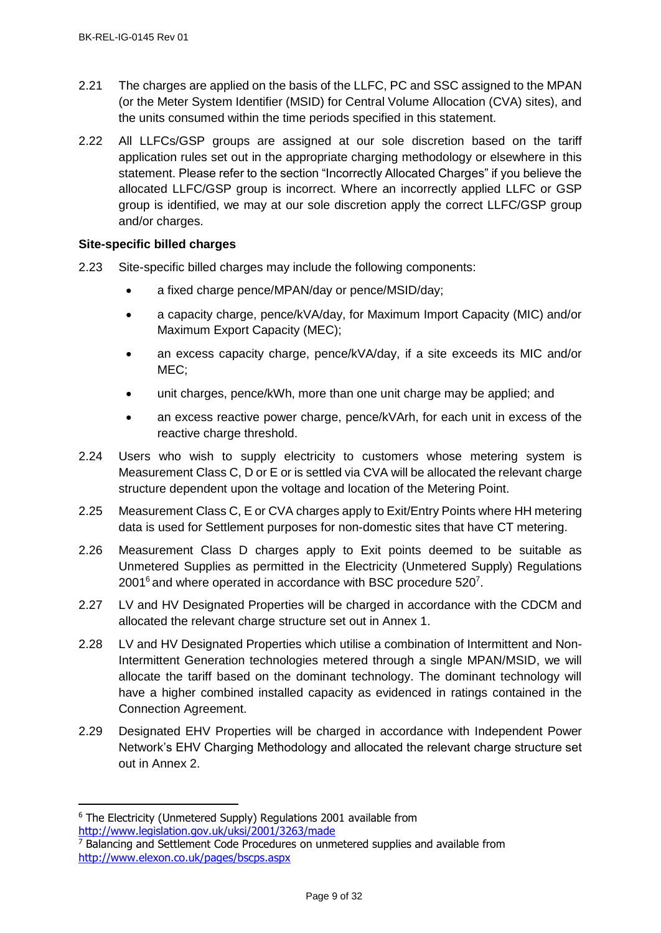- 2.21 The charges are applied on the basis of the LLFC, PC and SSC assigned to the MPAN (or the Meter System Identifier (MSID) for Central Volume Allocation (CVA) sites), and the units consumed within the time periods specified in this statement.
- 2.22 All LLFCs/GSP groups are assigned at our sole discretion based on the tariff application rules set out in the appropriate charging methodology or elsewhere in this statement. Please refer to the section "Incorrectly Allocated Charges" if you believe the allocated LLFC/GSP group is incorrect. Where an incorrectly applied LLFC or GSP group is identified, we may at our sole discretion apply the correct LLFC/GSP group and/or charges.

# <span id="page-8-0"></span>**Site-specific billed charges**

- 2.23 Site-specific billed charges may include the following components:
	- a fixed charge pence/MPAN/day or pence/MSID/day;
	- a capacity charge, pence/kVA/day, for Maximum Import Capacity (MIC) and/or Maximum Export Capacity (MEC);
	- an excess capacity charge, pence/kVA/day, if a site exceeds its MIC and/or MEC;
	- unit charges, pence/kWh, more than one unit charge may be applied; and
	- an excess reactive power charge, pence/kVArh, for each unit in excess of the reactive charge threshold.
- 2.24 Users who wish to supply electricity to customers whose metering system is Measurement Class C, D or E or is settled via CVA will be allocated the relevant charge structure dependent upon the voltage and location of the Metering Point.
- 2.25 Measurement Class C, E or CVA charges apply to Exit/Entry Points where HH metering data is used for Settlement purposes for non-domestic sites that have CT metering.
- 2.26 Measurement Class D charges apply to Exit points deemed to be suitable as Unmetered Supplies as permitted in the Electricity (Unmetered Supply) Regulations 2001<sup>6</sup> and where operated in accordance with BSC procedure 520<sup>7</sup>.
- 2.27 LV and HV Designated Properties will be charged in accordance with the CDCM and allocated the relevant charge structure set out in Annex 1.
- 2.28 LV and HV Designated Properties which utilise a combination of Intermittent and Non-Intermittent Generation technologies metered through a single MPAN/MSID, we will allocate the tariff based on the dominant technology. The dominant technology will have a higher combined installed capacity as evidenced in ratings contained in the Connection Agreement.
- 2.29 Designated EHV Properties will be charged in accordance with Independent Power Network's EHV Charging Methodology and allocated the relevant charge structure set out in Annex 2.

 $\overline{a}$ 

<sup>6</sup> The Electricity (Unmetered Supply) Regulations 2001 available from <http://www.legislation.gov.uk/uksi/2001/3263/made>

<sup>7</sup> Balancing and Settlement Code Procedures on unmetered supplies and available from <http://www.elexon.co.uk/pages/bscps.aspx>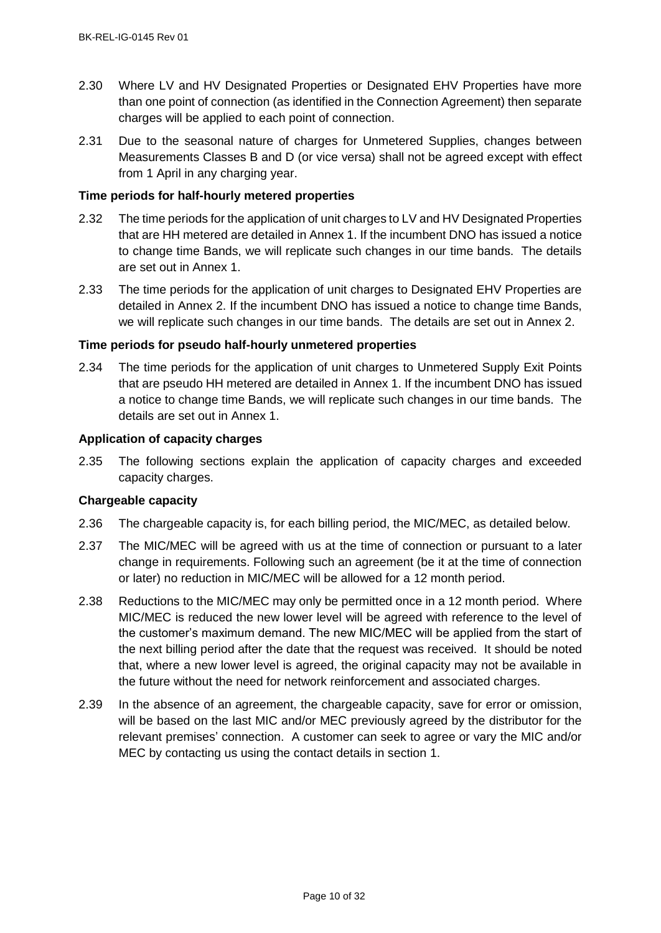- 2.30 Where LV and HV Designated Properties or Designated EHV Properties have more than one point of connection (as identified in the Connection Agreement) then separate charges will be applied to each point of connection.
- 2.31 Due to the seasonal nature of charges for Unmetered Supplies, changes between Measurements Classes B and D (or vice versa) shall not be agreed except with effect from 1 April in any charging year.

# <span id="page-9-0"></span>**Time periods for half-hourly metered properties**

- 2.32 The time periods for the application of unit charges to LV and HV Designated Properties that are HH metered are detailed in Annex 1. If the incumbent DNO has issued a notice to change time Bands, we will replicate such changes in our time bands. The details are set out in Annex 1.
- 2.33 The time periods for the application of unit charges to Designated EHV Properties are detailed in Annex 2. If the incumbent DNO has issued a notice to change time Bands, we will replicate such changes in our time bands. The details are set out in Annex 2.

# <span id="page-9-1"></span>**Time periods for pseudo half-hourly unmetered properties**

2.34 The time periods for the application of unit charges to Unmetered Supply Exit Points that are pseudo HH metered are detailed in Annex 1. If the incumbent DNO has issued a notice to change time Bands, we will replicate such changes in our time bands. The details are set out in Annex 1.

# <span id="page-9-2"></span>**Application of capacity charges**

2.35 The following sections explain the application of capacity charges and exceeded capacity charges.

# <span id="page-9-3"></span>**Chargeable capacity**

- 2.36 The chargeable capacity is, for each billing period, the MIC/MEC, as detailed below.
- 2.37 The MIC/MEC will be agreed with us at the time of connection or pursuant to a later change in requirements. Following such an agreement (be it at the time of connection or later) no reduction in MIC/MEC will be allowed for a 12 month period.
- 2.38 Reductions to the MIC/MEC may only be permitted once in a 12 month period. Where MIC/MEC is reduced the new lower level will be agreed with reference to the level of the customer's maximum demand. The new MIC/MEC will be applied from the start of the next billing period after the date that the request was received. It should be noted that, where a new lower level is agreed, the original capacity may not be available in the future without the need for network reinforcement and associated charges.
- 2.39 In the absence of an agreement, the chargeable capacity, save for error or omission, will be based on the last MIC and/or MEC previously agreed by the distributor for the relevant premises' connection. A customer can seek to agree or vary the MIC and/or MEC by contacting us using the contact details in section [1.](#page-4-0)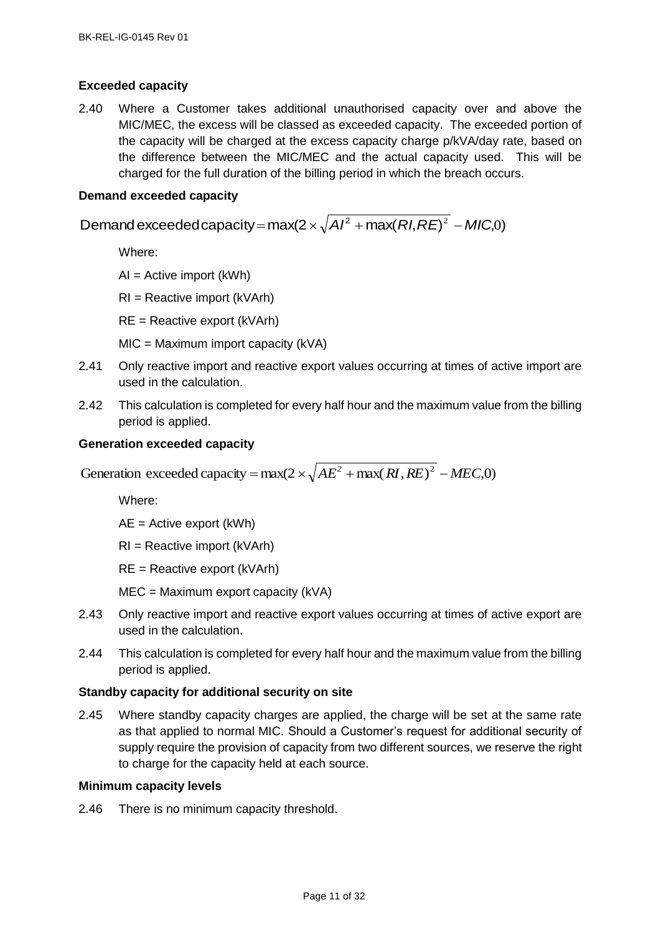# <span id="page-10-0"></span>**Exceeded capacity**

2.40 Where a Customer takes additional unauthorised capacity over and above the MIC/MEC, the excess will be classed as exceeded capacity. The exceeded portion of the capacity will be charged at the excess capacity charge p/kVA/day rate, based on the difference between the MIC/MEC and the actual capacity used. This will be charged for the full duration of the billing period in which the breach occurs.

## <span id="page-10-1"></span>**Demand exceeded capacity**

Demand exceeded capacity = max(2  $\times$   $\sqrt{A}$ /<sup>2</sup> + max(  $RI$ , RE)<sup>2</sup> – MIC,0)

Where:

 $AI = Active import (kWh)$ 

RI = Reactive import (kVArh)

RE = Reactive export (kVArh)

 $MIC = Maximum import capacity (kVA)$ 

- 2.41 Only reactive import and reactive export values occurring at times of active import are used in the calculation.
- 2.42 This calculation is completed for every half hour and the maximum value from the billing period is applied.

#### <span id="page-10-2"></span>**Generation exceeded capacity**

Generation exceeded capacity =  $max(2 \times \sqrt{AE^2 + max(RI, RE)^2 - MEC, 0})$ 

Where:

AE = Active export (kWh)

RI = Reactive import (kVArh)

RE = Reactive export (kVArh)

MEC = Maximum export capacity (kVA)

- 2.43 Only reactive import and reactive export values occurring at times of active export are used in the calculation.
- 2.44 This calculation is completed for every half hour and the maximum value from the billing period is applied.

# <span id="page-10-3"></span>**Standby capacity for additional security on site**

2.45 Where standby capacity charges are applied, the charge will be set at the same rate as that applied to normal MIC. Should a Customer's request for additional security of supply require the provision of capacity from two different sources, we reserve the right to charge for the capacity held at each source.

#### <span id="page-10-4"></span>**Minimum capacity levels**

2.46 There is no minimum capacity threshold.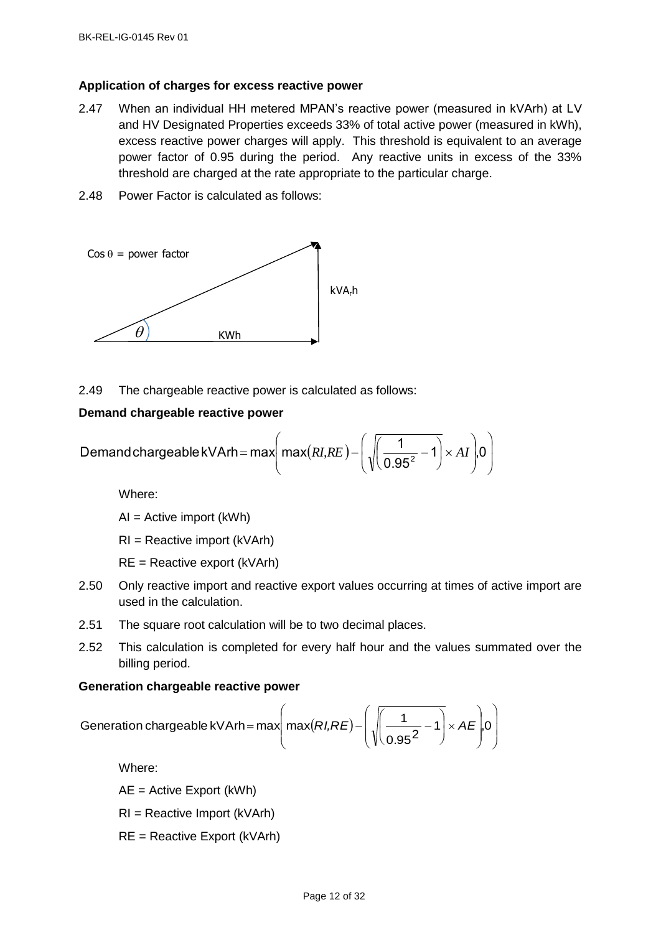#### <span id="page-11-0"></span>**Application of charges for excess reactive power**

- 2.47 When an individual HH metered MPAN's reactive power (measured in kVArh) at LV and HV Designated Properties exceeds 33% of total active power (measured in kWh), excess reactive power charges will apply. This threshold is equivalent to an average power factor of 0.95 during the period. Any reactive units in excess of the 33% threshold are charged at the rate appropriate to the particular charge.
- 2.48 Power Factor is calculated as follows:



2.49 The chargeable reactive power is calculated as follows:

#### <span id="page-11-1"></span>**Demand chargeable reactive power**

**Demand chargeable reactive power**  
Demand chargeable kVArh = max
$$
\left( max(RI,RE) - \left( \sqrt{\left( \frac{1}{0.95^2} - 1 \right)} \times AI \right) 0 \right)
$$

Where:

AI = Active import (kWh)

RI = Reactive import (kVArh)

RE = Reactive export (kVArh)

- 2.50 Only reactive import and reactive export values occurring at times of active import are used in the calculation.
- 2.51 The square root calculation will be to two decimal places.
- 2.52 This calculation is completed for every half hour and the values summated over the billing period.

#### <span id="page-11-2"></span>**Generation chargeable reactive power**

$$
\text{Generation chargeable reactive power}
$$
\n
$$
\text{Generation chargeable kVArh} = \max \left( \max(RI, RE) - \left( \sqrt{\left( \frac{1}{0.95^2} - 1 \right) \times AE} \right) 0 \right)
$$

Where:

AE = Active Export (kWh)

- RI = Reactive Import (kVArh)
- RE = Reactive Export (kVArh)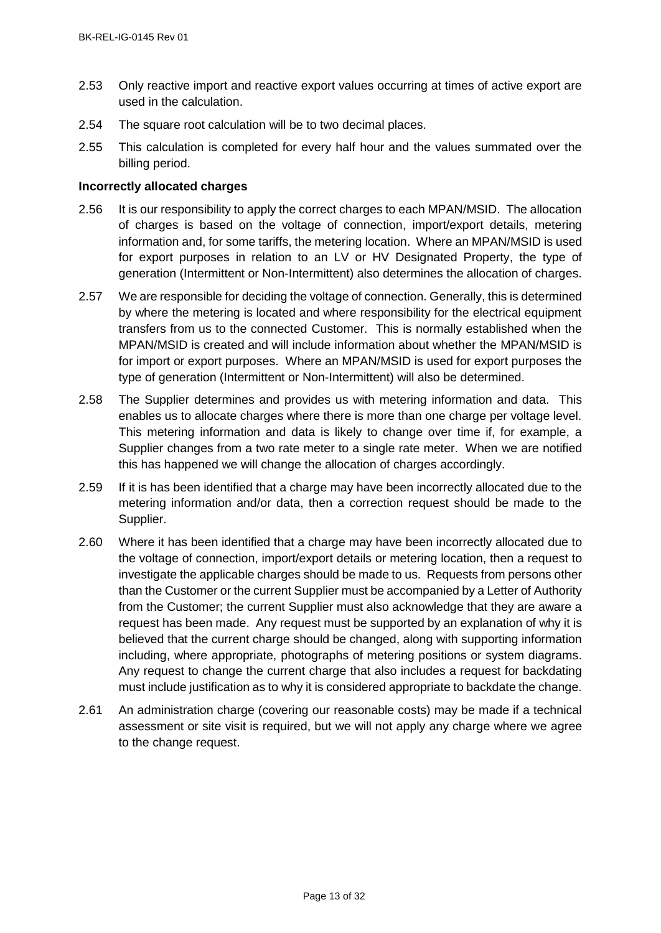- 2.53 Only reactive import and reactive export values occurring at times of active export are used in the calculation.
- 2.54 The square root calculation will be to two decimal places.
- 2.55 This calculation is completed for every half hour and the values summated over the billing period.

# <span id="page-12-0"></span>**Incorrectly allocated charges**

- 2.56 It is our responsibility to apply the correct charges to each MPAN/MSID. The allocation of charges is based on the voltage of connection, import/export details, metering information and, for some tariffs, the metering location. Where an MPAN/MSID is used for export purposes in relation to an LV or HV Designated Property, the type of generation (Intermittent or Non-Intermittent) also determines the allocation of charges.
- 2.57 We are responsible for deciding the voltage of connection. Generally, this is determined by where the metering is located and where responsibility for the electrical equipment transfers from us to the connected Customer. This is normally established when the MPAN/MSID is created and will include information about whether the MPAN/MSID is for import or export purposes. Where an MPAN/MSID is used for export purposes the type of generation (Intermittent or Non-Intermittent) will also be determined.
- 2.58 The Supplier determines and provides us with metering information and data. This enables us to allocate charges where there is more than one charge per voltage level. This metering information and data is likely to change over time if, for example, a Supplier changes from a two rate meter to a single rate meter. When we are notified this has happened we will change the allocation of charges accordingly.
- 2.59 If it is has been identified that a charge may have been incorrectly allocated due to the metering information and/or data, then a correction request should be made to the Supplier.
- 2.60 Where it has been identified that a charge may have been incorrectly allocated due to the voltage of connection, import/export details or metering location, then a request to investigate the applicable charges should be made to us. Requests from persons other than the Customer or the current Supplier must be accompanied by a Letter of Authority from the Customer; the current Supplier must also acknowledge that they are aware a request has been made. Any request must be supported by an explanation of why it is believed that the current charge should be changed, along with supporting information including, where appropriate, photographs of metering positions or system diagrams. Any request to change the current charge that also includes a request for backdating must include justification as to why it is considered appropriate to backdate the change.
- 2.61 An administration charge (covering our reasonable costs) may be made if a technical assessment or site visit is required, but we will not apply any charge where we agree to the change request.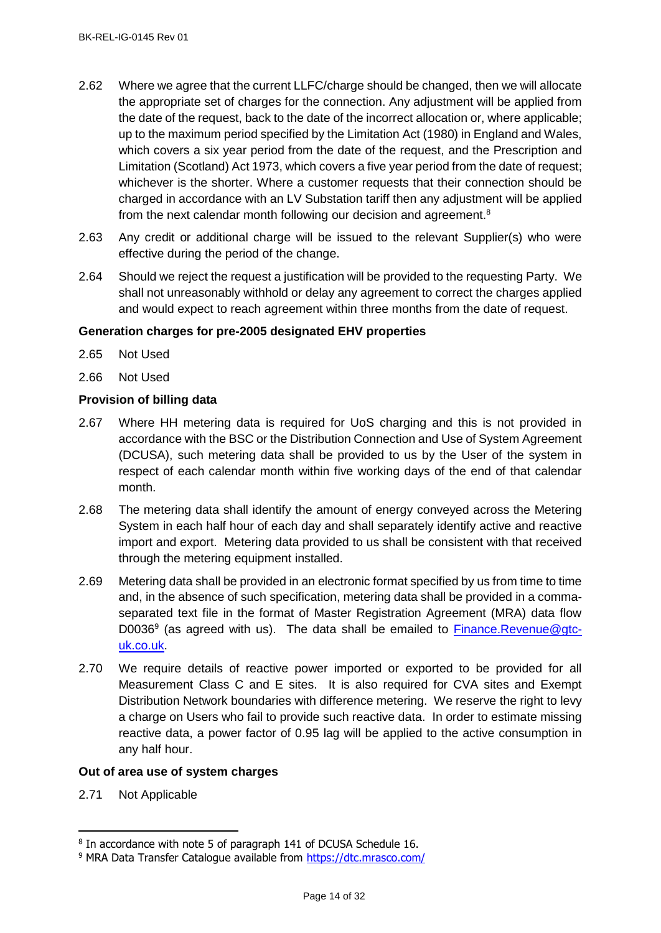- 2.62 Where we agree that the current LLFC/charge should be changed, then we will allocate the appropriate set of charges for the connection. Any adjustment will be applied from the date of the request, back to the date of the incorrect allocation or, where applicable; up to the maximum period specified by the Limitation Act (1980) in England and Wales, which covers a six year period from the date of the request, and the Prescription and Limitation (Scotland) Act 1973, which covers a five year period from the date of request; whichever is the shorter. Where a customer requests that their connection should be charged in accordance with an LV Substation tariff then any adjustment will be applied from the next calendar month following our decision and agreement.<sup>8</sup>
- 2.63 Any credit or additional charge will be issued to the relevant Supplier(s) who were effective during the period of the change.
- 2.64 Should we reject the request a justification will be provided to the requesting Party. We shall not unreasonably withhold or delay any agreement to correct the charges applied and would expect to reach agreement within three months from the date of request.

# <span id="page-13-0"></span>**Generation charges for pre-2005 designated EHV properties**

- 2.65 Not Used
- 2.66 Not Used

# <span id="page-13-1"></span>**Provision of billing data**

- 2.67 Where HH metering data is required for UoS charging and this is not provided in accordance with the BSC or the Distribution Connection and Use of System Agreement (DCUSA), such metering data shall be provided to us by the User of the system in respect of each calendar month within five working days of the end of that calendar month.
- 2.68 The metering data shall identify the amount of energy conveyed across the Metering System in each half hour of each day and shall separately identify active and reactive import and export. Metering data provided to us shall be consistent with that received through the metering equipment installed.
- 2.69 Metering data shall be provided in an electronic format specified by us from time to time and, in the absence of such specification, metering data shall be provided in a commaseparated text file in the format of Master Registration Agreement (MRA) data flow D0036<sup>9</sup> (as agreed with us). The data shall be emailed to **Finance.Revenue@gtc**[uk.co.uk.](mailto:Finance.Revenue@gtc-uk.co.uk)
- 2.70 We require details of reactive power imported or exported to be provided for all Measurement Class C and E sites. It is also required for CVA sites and Exempt Distribution Network boundaries with difference metering. We reserve the right to levy a charge on Users who fail to provide such reactive data. In order to estimate missing reactive data, a power factor of 0.95 lag will be applied to the active consumption in any half hour.

# <span id="page-13-2"></span>**Out of area use of system charges**

2.71 Not Applicable

j

<sup>&</sup>lt;sup>8</sup> In accordance with note 5 of paragraph 141 of DCUSA Schedule 16.

<sup>9</sup> MRA Data Transfer Catalogue available from<https://dtc.mrasco.com/>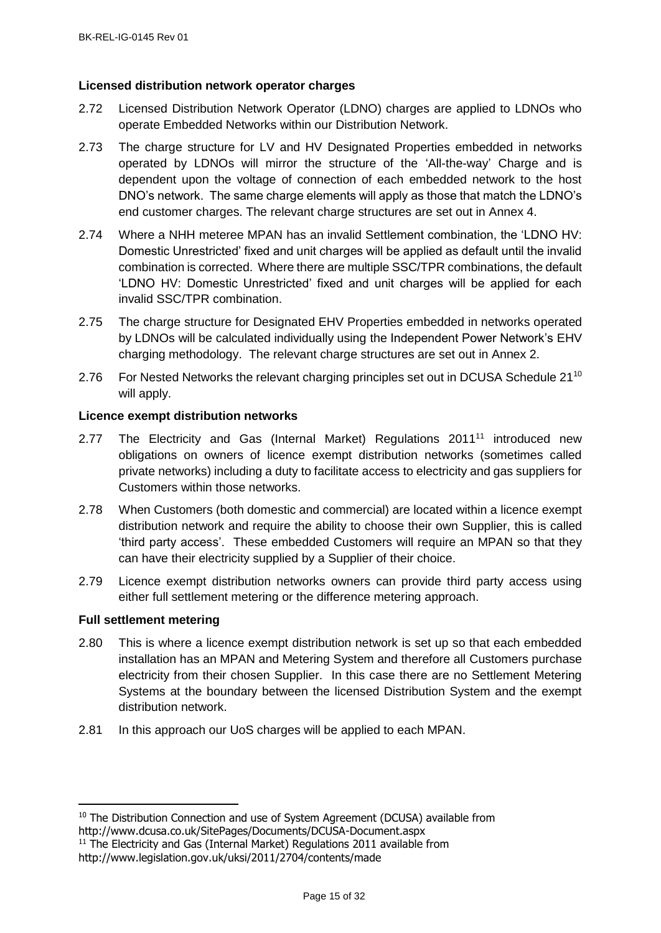# <span id="page-14-0"></span>**Licensed distribution network operator charges**

- 2.72 Licensed Distribution Network Operator (LDNO) charges are applied to LDNOs who operate Embedded Networks within our Distribution Network.
- 2.73 The charge structure for LV and HV Designated Properties embedded in networks operated by LDNOs will mirror the structure of the 'All-the-way' Charge and is dependent upon the voltage of connection of each embedded network to the host DNO's network. The same charge elements will apply as those that match the LDNO's end customer charges. The relevant charge structures are set out in Annex 4.
- 2.74 Where a NHH meteree MPAN has an invalid Settlement combination, the 'LDNO HV: Domestic Unrestricted' fixed and unit charges will be applied as default until the invalid combination is corrected. Where there are multiple SSC/TPR combinations, the default 'LDNO HV: Domestic Unrestricted' fixed and unit charges will be applied for each invalid SSC/TPR combination.
- 2.75 The charge structure for Designated EHV Properties embedded in networks operated by LDNOs will be calculated individually using the Independent Power Network's EHV charging methodology. The relevant charge structures are set out in Annex 2.
- 2.76 For Nested Networks the relevant charging principles set out in DCUSA Schedule 21<sup>10</sup> will apply.

# <span id="page-14-1"></span>**Licence exempt distribution networks**

- 2.77 The Electricity and Gas (Internal Market) Regulations 2011<sup>11</sup> introduced new obligations on owners of licence exempt distribution networks (sometimes called private networks) including a duty to facilitate access to electricity and gas suppliers for Customers within those networks.
- 2.78 When Customers (both domestic and commercial) are located within a licence exempt distribution network and require the ability to choose their own Supplier, this is called 'third party access'. These embedded Customers will require an MPAN so that they can have their electricity supplied by a Supplier of their choice.
- 2.79 Licence exempt distribution networks owners can provide third party access using either full settlement metering or the difference metering approach.

# <span id="page-14-2"></span>**Full settlement metering**

- 2.80 This is where a licence exempt distribution network is set up so that each embedded installation has an MPAN and Metering System and therefore all Customers purchase electricity from their chosen Supplier. In this case there are no Settlement Metering Systems at the boundary between the licensed Distribution System and the exempt distribution network.
- 2.81 In this approach our UoS charges will be applied to each MPAN.

 $\overline{a}$ <sup>10</sup> The Distribution Connection and use of System Agreement (DCUSA) available from http://www.dcusa.co.uk/SitePages/Documents/DCUSA-Document.aspx

<sup>&</sup>lt;sup>11</sup> The Electricity and Gas (Internal Market) Regulations 2011 available from http://www.legislation.gov.uk/uksi/2011/2704/contents/made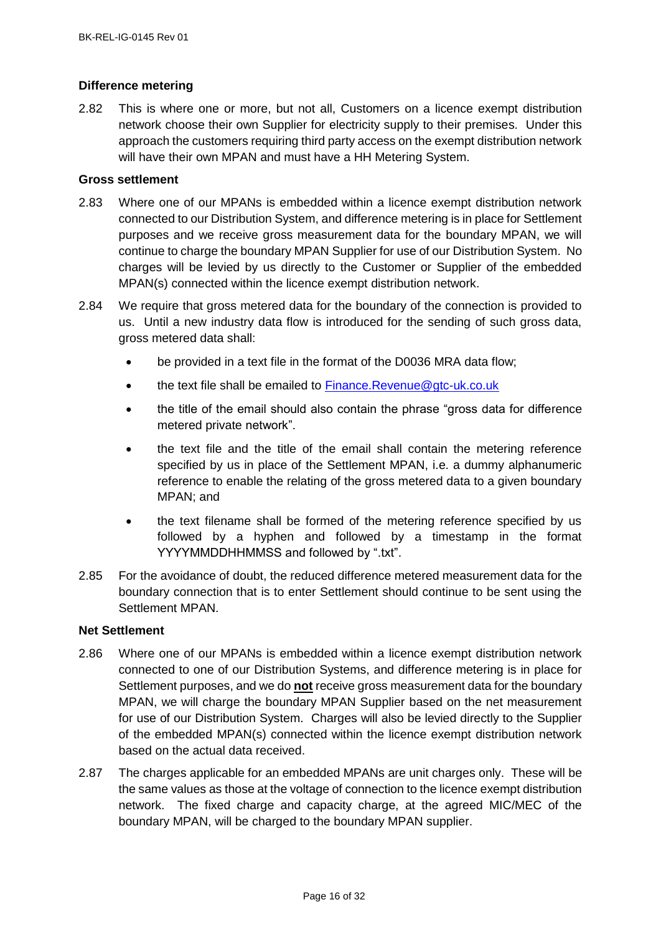# <span id="page-15-0"></span>**Difference metering**

2.82 This is where one or more, but not all, Customers on a licence exempt distribution network choose their own Supplier for electricity supply to their premises. Under this approach the customers requiring third party access on the exempt distribution network will have their own MPAN and must have a HH Metering System.

# <span id="page-15-1"></span>**Gross settlement**

- 2.83 Where one of our MPANs is embedded within a licence exempt distribution network connected to our Distribution System, and difference metering is in place for Settlement purposes and we receive gross measurement data for the boundary MPAN, we will continue to charge the boundary MPAN Supplier for use of our Distribution System. No charges will be levied by us directly to the Customer or Supplier of the embedded MPAN(s) connected within the licence exempt distribution network.
- 2.84 We require that gross metered data for the boundary of the connection is provided to us. Until a new industry data flow is introduced for the sending of such gross data, gross metered data shall:
	- be provided in a text file in the format of the D0036 MRA data flow;
	- the text file shall be emailed to [Finance.Revenue@gtc-uk.co.uk](mailto:Finance.Revenue@gtc-uk.co.uk)
	- the title of the email should also contain the phrase "gross data for difference metered private network".
	- the text file and the title of the email shall contain the metering reference specified by us in place of the Settlement MPAN, i.e. a dummy alphanumeric reference to enable the relating of the gross metered data to a given boundary MPAN; and
	- the text filename shall be formed of the metering reference specified by us followed by a hyphen and followed by a timestamp in the format YYYYMMDDHHMMSS and followed by ".txt".
- 2.85 For the avoidance of doubt, the reduced difference metered measurement data for the boundary connection that is to enter Settlement should continue to be sent using the Settlement MPAN.

#### <span id="page-15-2"></span>**Net Settlement**

- 2.86 Where one of our MPANs is embedded within a licence exempt distribution network connected to one of our Distribution Systems, and difference metering is in place for Settlement purposes, and we do **not** receive gross measurement data for the boundary MPAN, we will charge the boundary MPAN Supplier based on the net measurement for use of our Distribution System. Charges will also be levied directly to the Supplier of the embedded MPAN(s) connected within the licence exempt distribution network based on the actual data received.
- 2.87 The charges applicable for an embedded MPANs are unit charges only. These will be the same values as those at the voltage of connection to the licence exempt distribution network. The fixed charge and capacity charge, at the agreed MIC/MEC of the boundary MPAN, will be charged to the boundary MPAN supplier.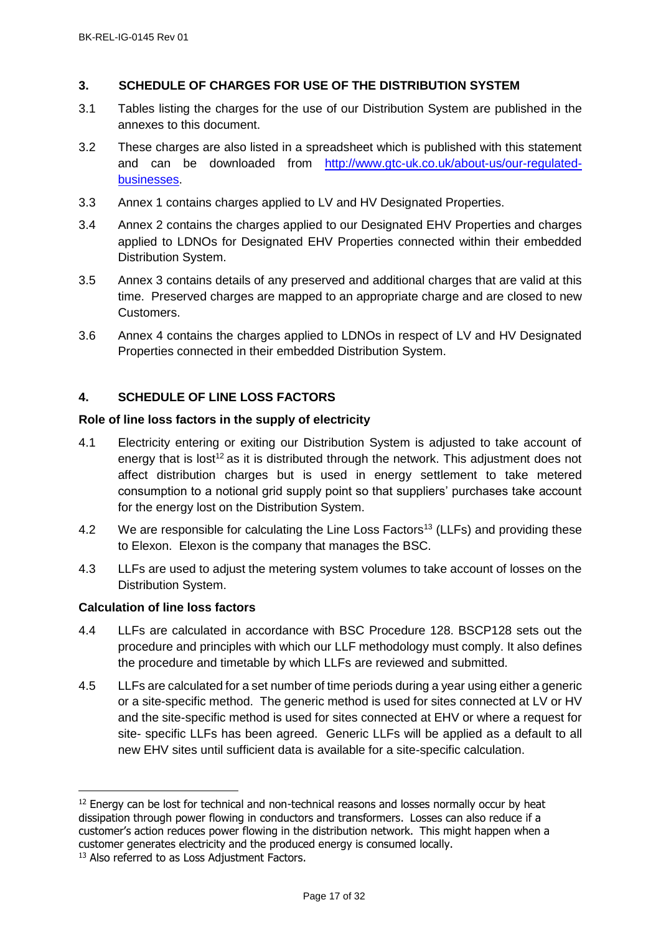# <span id="page-16-0"></span>**3. SCHEDULE OF CHARGES FOR USE OF THE DISTRIBUTION SYSTEM**

- 3.1 Tables listing the charges for the use of our Distribution System are published in the annexes to this document.
- 3.2 These charges are also listed in a spreadsheet which is published with this statement and can be downloaded from [http://www.gtc-uk.co.uk/about-us/our-regulated](http://www.gtc-uk.co.uk/about-us/our-regulated-businesses)[businesses.](http://www.gtc-uk.co.uk/about-us/our-regulated-businesses)
- 3.3 Annex 1 contains charges applied to LV and HV Designated Properties.
- 3.4 Annex 2 contains the charges applied to our Designated EHV Properties and charges applied to LDNOs for Designated EHV Properties connected within their embedded Distribution System.
- 3.5 Annex 3 contains details of any preserved and additional charges that are valid at this time. Preserved charges are mapped to an appropriate charge and are closed to new Customers.
- 3.6 Annex 4 contains the charges applied to LDNOs in respect of LV and HV Designated Properties connected in their embedded Distribution System.

# <span id="page-16-1"></span>**4. SCHEDULE OF LINE LOSS FACTORS**

#### <span id="page-16-2"></span>**Role of line loss factors in the supply of electricity**

- 4.1 Electricity entering or exiting our Distribution System is adjusted to take account of energy that is  $\text{lost}^{12}$  as it is distributed through the network. This adjustment does not affect distribution charges but is used in energy settlement to take metered consumption to a notional grid supply point so that suppliers' purchases take account for the energy lost on the Distribution System.
- 4.2 We are responsible for calculating the Line Loss Factors<sup>13</sup> (LLFs) and providing these to Elexon. Elexon is the company that manages the BSC.
- 4.3 LLFs are used to adjust the metering system volumes to take account of losses on the Distribution System.

#### <span id="page-16-3"></span>**Calculation of line loss factors**

 $\overline{a}$ 

- 4.4 LLFs are calculated in accordance with BSC Procedure 128. BSCP128 sets out the procedure and principles with which our LLF methodology must comply. It also defines the procedure and timetable by which LLFs are reviewed and submitted.
- 4.5 LLFs are calculated for a set number of time periods during a year using either a generic or a site-specific method. The generic method is used for sites connected at LV or HV and the site-specific method is used for sites connected at EHV or where a request for site- specific LLFs has been agreed. Generic LLFs will be applied as a default to all new EHV sites until sufficient data is available for a site-specific calculation.

 $12$  Energy can be lost for technical and non-technical reasons and losses normally occur by heat dissipation through power flowing in conductors and transformers. Losses can also reduce if a customer's action reduces power flowing in the distribution network. This might happen when a customer generates electricity and the produced energy is consumed locally.

<sup>&</sup>lt;sup>13</sup> Also referred to as Loss Adjustment Factors.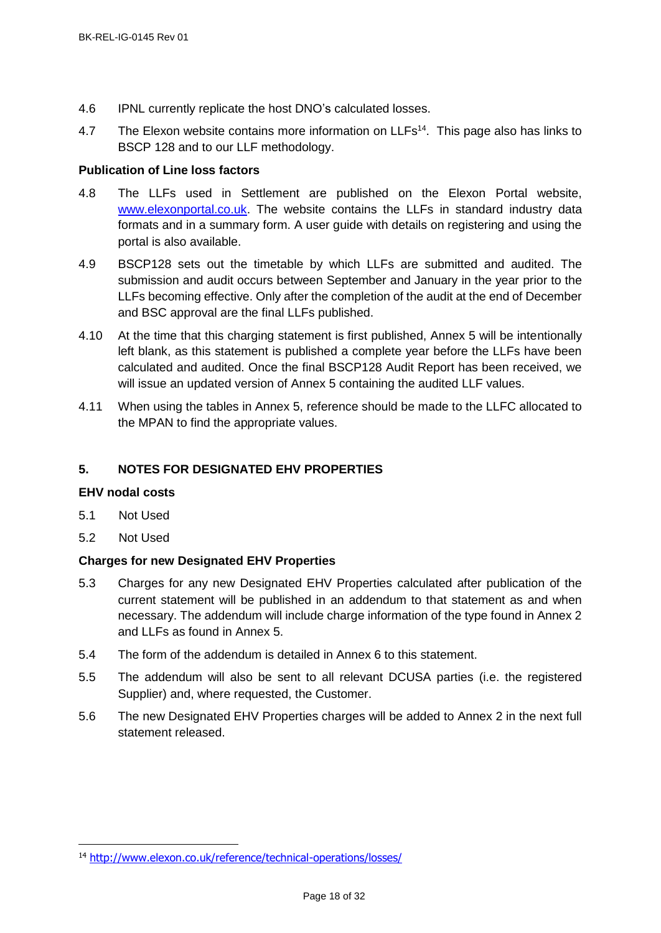- 4.6 IPNL currently replicate the host DNO's calculated losses.
- 4.7 The Elexon website contains more information on LLFs<sup>14</sup>. This page also has links to BSCP 128 and to our LLF methodology.

# <span id="page-17-0"></span>**Publication of Line loss factors**

- 4.8 The LLFs used in Settlement are published on the Elexon Portal website, [www.elexonportal.co.uk.](http://www.elexonportal.co.uk/) The website contains the LLFs in standard industry data formats and in a summary form. A user guide with details on registering and using the portal is also available.
- 4.9 BSCP128 sets out the timetable by which LLFs are submitted and audited. The submission and audit occurs between September and January in the year prior to the LLFs becoming effective. Only after the completion of the audit at the end of December and BSC approval are the final LLFs published.
- 4.10 At the time that this charging statement is first published, Annex 5 will be intentionally left blank, as this statement is published a complete year before the LLFs have been calculated and audited. Once the final BSCP128 Audit Report has been received, we will issue an updated version of Annex 5 containing the audited LLF values.
- 4.11 When using the tables in Annex 5, reference should be made to the LLFC allocated to the MPAN to find the appropriate values.

# <span id="page-17-1"></span>**5. NOTES FOR DESIGNATED EHV PROPERTIES**

# <span id="page-17-2"></span>**EHV nodal costs**

- 5.1 Not Used
- 5.2 Not Used

j

# <span id="page-17-3"></span>**Charges for new Designated EHV Properties**

- 5.3 Charges for any new Designated EHV Properties calculated after publication of the current statement will be published in an addendum to that statement as and when necessary. The addendum will include charge information of the type found in Annex 2 and LLFs as found in Annex 5.
- 5.4 The form of the addendum is detailed in Annex 6 to this statement.
- 5.5 The addendum will also be sent to all relevant DCUSA parties (i.e. the registered Supplier) and, where requested, the Customer.
- 5.6 The new Designated EHV Properties charges will be added to Annex 2 in the next full statement released.

<sup>14</sup> <http://www.elexon.co.uk/reference/technical-operations/losses/>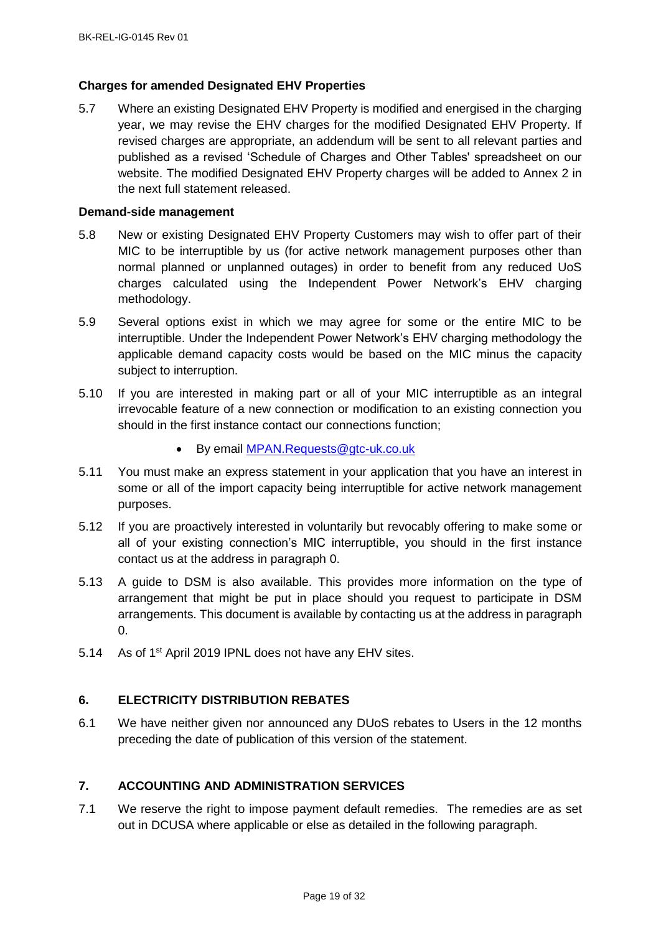## <span id="page-18-0"></span>**Charges for amended Designated EHV Properties**

5.7 Where an existing Designated EHV Property is modified and energised in the charging year, we may revise the EHV charges for the modified Designated EHV Property. If revised charges are appropriate, an addendum will be sent to all relevant parties and published as a revised 'Schedule of Charges and Other Tables' spreadsheet on our website. The modified Designated EHV Property charges will be added to Annex 2 in the next full statement released.

#### <span id="page-18-1"></span>**Demand-side management**

- 5.8 New or existing Designated EHV Property Customers may wish to offer part of their MIC to be interruptible by us (for active network management purposes other than normal planned or unplanned outages) in order to benefit from any reduced UoS charges calculated using the Independent Power Network's EHV charging methodology.
- 5.9 Several options exist in which we may agree for some or the entire MIC to be interruptible. Under the Independent Power Network's EHV charging methodology the applicable demand capacity costs would be based on the MIC minus the capacity subject to interruption.
- 5.10 If you are interested in making part or all of your MIC interruptible as an integral irrevocable feature of a new connection or modification to an existing connection you should in the first instance contact our connections function;
	- By email [MPAN.Requests@gtc-uk.co.uk](mailto:MPAN.Requests@gtc-uk.co.uk)
- 5.11 You must make an express statement in your application that you have an interest in some or all of the import capacity being interruptible for active network management purposes.
- 5.12 If you are proactively interested in voluntarily but revocably offering to make some or all of your existing connection's MIC interruptible, you should in the first instance contact us at the address in paragraph [0.](#page-5-1)
- 5.13 A guide to DSM is also available. This provides more information on the type of arrangement that might be put in place should you request to participate in DSM arrangements. This document is available by contacting us at the address in paragraph [0.](#page-5-1)
- 5.14 As of 1<sup>st</sup> April 2019 IPNL does not have any EHV sites.

# <span id="page-18-2"></span>**6. ELECTRICITY DISTRIBUTION REBATES**

6.1 We have neither given nor announced any DUoS rebates to Users in the 12 months preceding the date of publication of this version of the statement.

# <span id="page-18-3"></span>**7. ACCOUNTING AND ADMINISTRATION SERVICES**

7.1 We reserve the right to impose payment default remedies. The remedies are as set out in DCUSA where applicable or else as detailed in the following paragraph.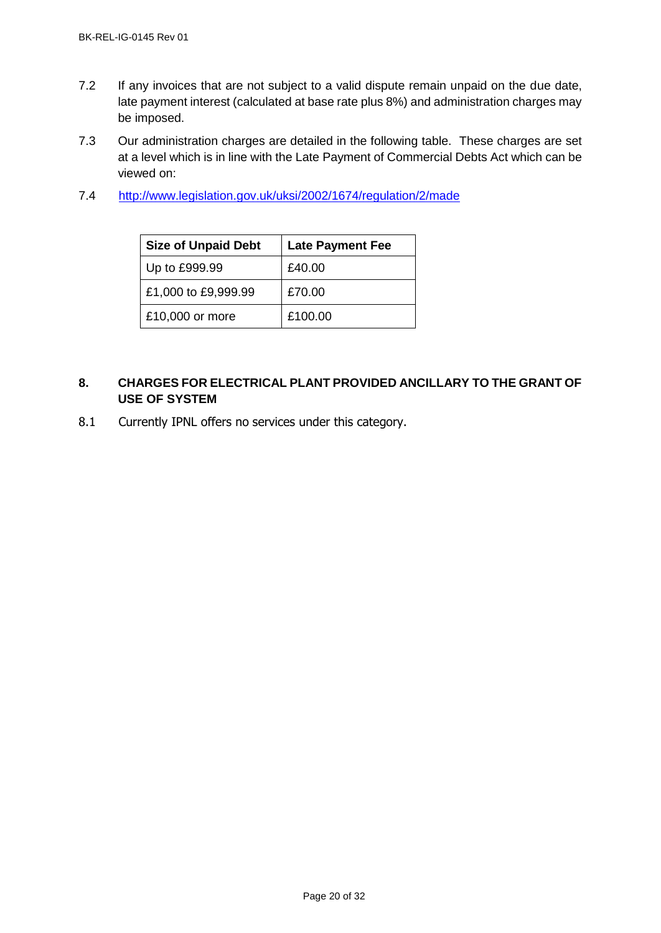- 7.2 If any invoices that are not subject to a valid dispute remain unpaid on the due date, late payment interest (calculated at base rate plus 8%) and administration charges may be imposed.
- 7.3 Our administration charges are detailed in the following table. These charges are set at a level which is in line with the Late Payment of Commercial Debts Act which can be viewed on:
- 7.4 <http://www.legislation.gov.uk/uksi/2002/1674/regulation/2/made>

| <b>Size of Unpaid Debt</b> | <b>Late Payment Fee</b> |
|----------------------------|-------------------------|
| Up to £999.99              | £40.00                  |
| £1,000 to £9,999.99        | £70.00                  |
| £10,000 or more            | £100.00                 |

# <span id="page-19-0"></span>**8. CHARGES FOR ELECTRICAL PLANT PROVIDED ANCILLARY TO THE GRANT OF USE OF SYSTEM**

8.1 Currently IPNL offers no services under this category.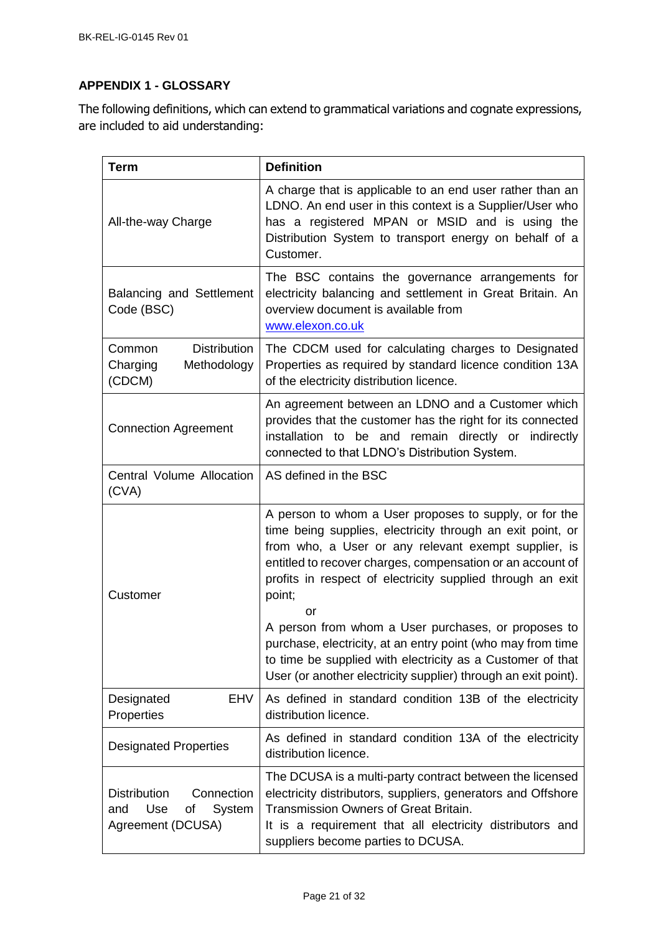# <span id="page-20-0"></span>**APPENDIX 1 - GLOSSARY**

The following definitions, which can extend to grammatical variations and cognate expressions, are included to aid understanding:

| <b>Term</b>                                                                          | <b>Definition</b>                                                                                                                                                                                                                                                                                                        |
|--------------------------------------------------------------------------------------|--------------------------------------------------------------------------------------------------------------------------------------------------------------------------------------------------------------------------------------------------------------------------------------------------------------------------|
| All-the-way Charge                                                                   | A charge that is applicable to an end user rather than an<br>LDNO. An end user in this context is a Supplier/User who<br>has a registered MPAN or MSID and is using the<br>Distribution System to transport energy on behalf of a<br>Customer.                                                                           |
| Balancing and Settlement<br>Code (BSC)                                               | The BSC contains the governance arrangements for<br>electricity balancing and settlement in Great Britain. An<br>overview document is available from<br>www.elexon.co.uk                                                                                                                                                 |
| <b>Distribution</b><br>Common<br>Charging<br>Methodology<br>(CDCM)                   | The CDCM used for calculating charges to Designated<br>Properties as required by standard licence condition 13A<br>of the electricity distribution licence.                                                                                                                                                              |
| <b>Connection Agreement</b>                                                          | An agreement between an LDNO and a Customer which<br>provides that the customer has the right for its connected<br>installation to be and remain directly or indirectly<br>connected to that LDNO's Distribution System.                                                                                                 |
| Central Volume Allocation<br>(CVA)                                                   | AS defined in the BSC                                                                                                                                                                                                                                                                                                    |
| Customer                                                                             | A person to whom a User proposes to supply, or for the<br>time being supplies, electricity through an exit point, or<br>from who, a User or any relevant exempt supplier, is<br>entitled to recover charges, compensation or an account of<br>profits in respect of electricity supplied through an exit<br>point;<br>or |
|                                                                                      | A person from whom a User purchases, or proposes to<br>purchase, electricity, at an entry point (who may from time<br>to time be supplied with electricity as a Customer of that<br>User (or another electricity supplier) through an exit point).                                                                       |
| <b>EHV</b><br>Designated<br>Properties                                               | As defined in standard condition 13B of the electricity<br>distribution licence.                                                                                                                                                                                                                                         |
| <b>Designated Properties</b>                                                         | As defined in standard condition 13A of the electricity<br>distribution licence.                                                                                                                                                                                                                                         |
| <b>Distribution</b><br>Connection<br>Use<br>System<br>and<br>Οf<br>Agreement (DCUSA) | The DCUSA is a multi-party contract between the licensed<br>electricity distributors, suppliers, generators and Offshore<br><b>Transmission Owners of Great Britain.</b><br>It is a requirement that all electricity distributors and<br>suppliers become parties to DCUSA.                                              |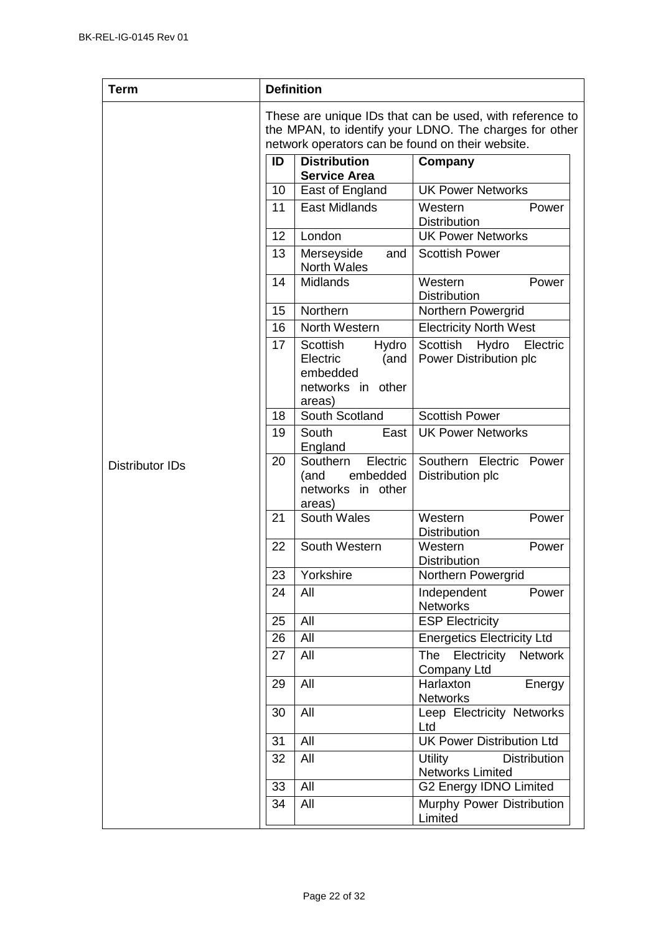| <b>Term</b>            |    | <b>Definition</b>                                                                |                                                                                                                                                                        |
|------------------------|----|----------------------------------------------------------------------------------|------------------------------------------------------------------------------------------------------------------------------------------------------------------------|
|                        |    |                                                                                  | These are unique IDs that can be used, with reference to<br>the MPAN, to identify your LDNO. The charges for other<br>network operators can be found on their website. |
|                        | ID | <b>Distribution</b><br><b>Service Area</b>                                       | Company                                                                                                                                                                |
|                        | 10 | East of England                                                                  | <b>UK Power Networks</b>                                                                                                                                               |
|                        | 11 | <b>East Midlands</b>                                                             | Western<br>Power<br><b>Distribution</b>                                                                                                                                |
|                        | 12 | London                                                                           | <b>UK Power Networks</b>                                                                                                                                               |
|                        | 13 | Merseyside<br>and<br><b>North Wales</b>                                          | <b>Scottish Power</b>                                                                                                                                                  |
|                        | 14 | Midlands                                                                         | Western<br>Power<br><b>Distribution</b>                                                                                                                                |
|                        | 15 | Northern                                                                         | Northern Powergrid                                                                                                                                                     |
|                        | 16 | North Western                                                                    | <b>Electricity North West</b>                                                                                                                                          |
|                        | 17 | Scottish<br>Hydro<br>Electric<br>(and<br>embedded<br>networks in other<br>areas) | Scottish<br>Hydro<br>Electric<br>Power Distribution plc                                                                                                                |
|                        | 18 | South Scotland                                                                   | <b>Scottish Power</b>                                                                                                                                                  |
|                        | 19 | South<br>East<br>England                                                         | <b>UK Power Networks</b>                                                                                                                                               |
| <b>Distributor IDs</b> | 20 | Southern<br>Electric<br>embedded<br>(and<br>networks in other<br>areas)          | Southern Electric<br>Power<br>Distribution plc                                                                                                                         |
|                        | 21 | South Wales                                                                      | Western<br>Power<br><b>Distribution</b>                                                                                                                                |
|                        | 22 | South Western                                                                    | Western<br>Power<br><b>Distribution</b>                                                                                                                                |
|                        | 23 | Yorkshire                                                                        | Northern Powergrid                                                                                                                                                     |
|                        | 24 | All                                                                              | Independent<br>Power<br><b>Networks</b>                                                                                                                                |
|                        | 25 | All                                                                              | <b>ESP Electricity</b>                                                                                                                                                 |
|                        | 26 | All                                                                              | <b>Energetics Electricity Ltd</b>                                                                                                                                      |
|                        | 27 | All                                                                              | Electricity<br><b>The</b><br><b>Network</b><br>Company Ltd                                                                                                             |
|                        | 29 | All                                                                              | Harlaxton<br>Energy<br><b>Networks</b>                                                                                                                                 |
|                        | 30 | All                                                                              | Leep Electricity Networks<br>Ltd                                                                                                                                       |
|                        | 31 | All                                                                              | <b>UK Power Distribution Ltd</b>                                                                                                                                       |
|                        | 32 | All                                                                              | Utility<br><b>Distribution</b><br><b>Networks Limited</b>                                                                                                              |
|                        | 33 | All                                                                              | G2 Energy IDNO Limited                                                                                                                                                 |
|                        | 34 | All                                                                              | Murphy Power Distribution<br>Limited                                                                                                                                   |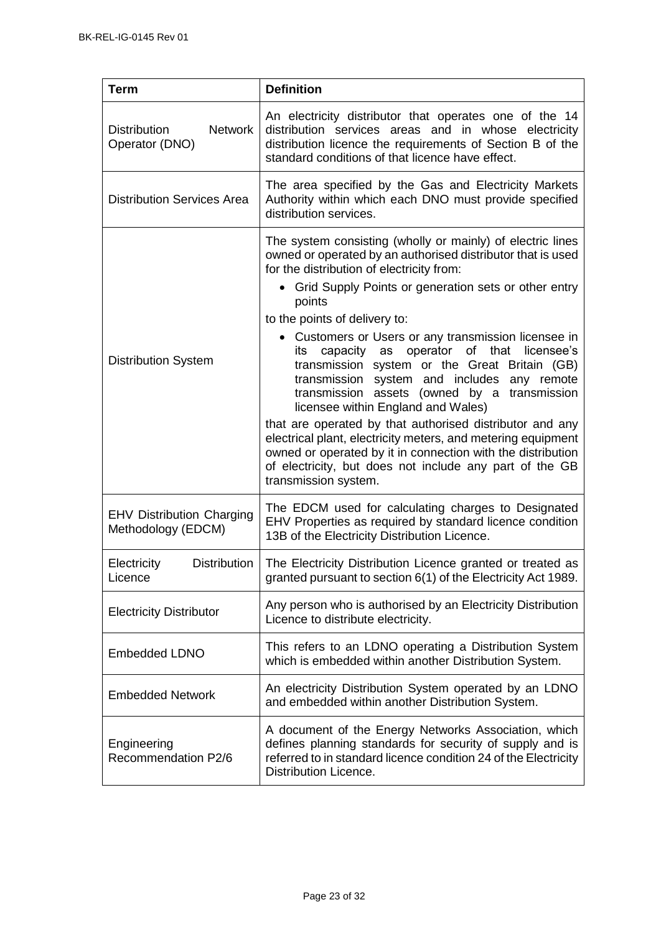| Term                                                    | <b>Definition</b>                                                                                                                                                                                                                                                                                                                                                                                                                                                                                                                                                                                                                                                                                                                                                                                                                                            |
|---------------------------------------------------------|--------------------------------------------------------------------------------------------------------------------------------------------------------------------------------------------------------------------------------------------------------------------------------------------------------------------------------------------------------------------------------------------------------------------------------------------------------------------------------------------------------------------------------------------------------------------------------------------------------------------------------------------------------------------------------------------------------------------------------------------------------------------------------------------------------------------------------------------------------------|
| <b>Distribution</b><br><b>Network</b><br>Operator (DNO) | An electricity distributor that operates one of the 14<br>distribution services areas and in whose electricity<br>distribution licence the requirements of Section B of the<br>standard conditions of that licence have effect.                                                                                                                                                                                                                                                                                                                                                                                                                                                                                                                                                                                                                              |
| <b>Distribution Services Area</b>                       | The area specified by the Gas and Electricity Markets<br>Authority within which each DNO must provide specified<br>distribution services.                                                                                                                                                                                                                                                                                                                                                                                                                                                                                                                                                                                                                                                                                                                    |
| <b>Distribution System</b>                              | The system consisting (wholly or mainly) of electric lines<br>owned or operated by an authorised distributor that is used<br>for the distribution of electricity from:<br>• Grid Supply Points or generation sets or other entry<br>points<br>to the points of delivery to:<br>• Customers or Users or any transmission licensee in<br>capacity as operator of that<br>licensee's<br>its<br>transmission system or the Great Britain (GB)<br>transmission system and includes any remote<br>transmission assets (owned by a transmission<br>licensee within England and Wales)<br>that are operated by that authorised distributor and any<br>electrical plant, electricity meters, and metering equipment<br>owned or operated by it in connection with the distribution<br>of electricity, but does not include any part of the GB<br>transmission system. |
| <b>EHV Distribution Charging</b><br>Methodology (EDCM)  | The EDCM used for calculating charges to Designated<br>EHV Properties as required by standard licence condition<br>13B of the Electricity Distribution Licence.                                                                                                                                                                                                                                                                                                                                                                                                                                                                                                                                                                                                                                                                                              |
| <b>Distribution</b><br>Electricity<br>Licence           | The Electricity Distribution Licence granted or treated as<br>granted pursuant to section 6(1) of the Electricity Act 1989.                                                                                                                                                                                                                                                                                                                                                                                                                                                                                                                                                                                                                                                                                                                                  |
| <b>Electricity Distributor</b>                          | Any person who is authorised by an Electricity Distribution<br>Licence to distribute electricity.                                                                                                                                                                                                                                                                                                                                                                                                                                                                                                                                                                                                                                                                                                                                                            |
| <b>Embedded LDNO</b>                                    | This refers to an LDNO operating a Distribution System<br>which is embedded within another Distribution System.                                                                                                                                                                                                                                                                                                                                                                                                                                                                                                                                                                                                                                                                                                                                              |
| <b>Embedded Network</b>                                 | An electricity Distribution System operated by an LDNO<br>and embedded within another Distribution System.                                                                                                                                                                                                                                                                                                                                                                                                                                                                                                                                                                                                                                                                                                                                                   |
| Engineering<br>Recommendation P2/6                      | A document of the Energy Networks Association, which<br>defines planning standards for security of supply and is<br>referred to in standard licence condition 24 of the Electricity<br>Distribution Licence.                                                                                                                                                                                                                                                                                                                                                                                                                                                                                                                                                                                                                                                 |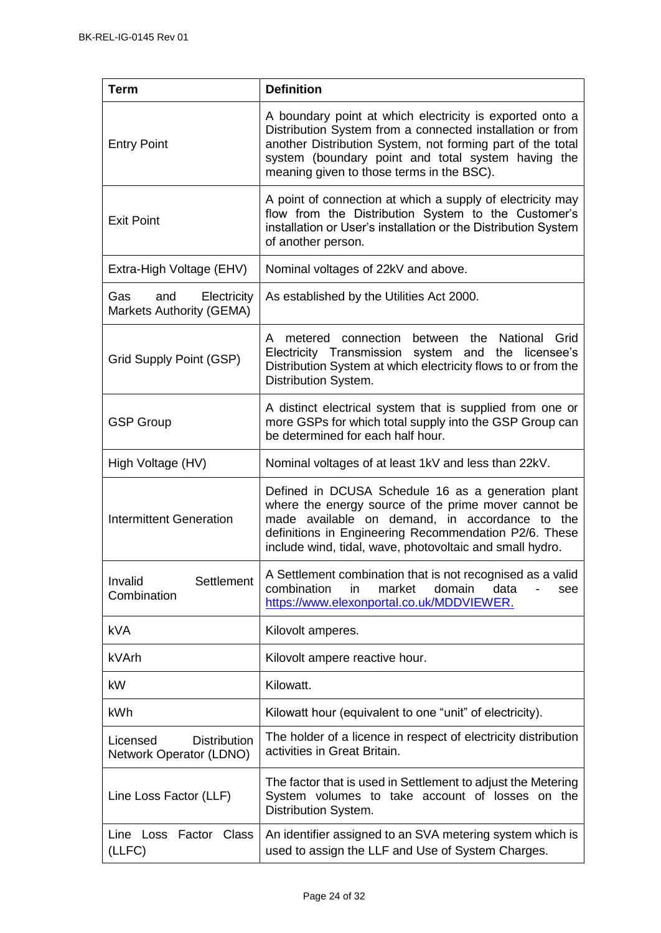| <b>Term</b>                                                  | <b>Definition</b>                                                                                                                                                                                                                                                                      |
|--------------------------------------------------------------|----------------------------------------------------------------------------------------------------------------------------------------------------------------------------------------------------------------------------------------------------------------------------------------|
| <b>Entry Point</b>                                           | A boundary point at which electricity is exported onto a<br>Distribution System from a connected installation or from<br>another Distribution System, not forming part of the total<br>system (boundary point and total system having the<br>meaning given to those terms in the BSC). |
| <b>Exit Point</b>                                            | A point of connection at which a supply of electricity may<br>flow from the Distribution System to the Customer's<br>installation or User's installation or the Distribution System<br>of another person.                                                                              |
| Extra-High Voltage (EHV)                                     | Nominal voltages of 22kV and above.                                                                                                                                                                                                                                                    |
| Gas<br>Electricity<br>and<br><b>Markets Authority (GEMA)</b> | As established by the Utilities Act 2000.                                                                                                                                                                                                                                              |
| Grid Supply Point (GSP)                                      | metered connection between the National Grid<br>A<br>Electricity Transmission system and the licensee's<br>Distribution System at which electricity flows to or from the<br>Distribution System.                                                                                       |
| <b>GSP Group</b>                                             | A distinct electrical system that is supplied from one or<br>more GSPs for which total supply into the GSP Group can<br>be determined for each half hour.                                                                                                                              |
| High Voltage (HV)                                            | Nominal voltages of at least 1kV and less than 22kV.                                                                                                                                                                                                                                   |
| <b>Intermittent Generation</b>                               | Defined in DCUSA Schedule 16 as a generation plant<br>where the energy source of the prime mover cannot be<br>made available on demand, in accordance to the<br>definitions in Engineering Recommendation P2/6. These<br>include wind, tidal, wave, photovoltaic and small hydro.      |
| Settlement<br>Invalid<br>Combination                         | A Settlement combination that is not recognised as a valid<br>combination<br>market<br>domain<br>in<br>data<br>see<br>https://www.elexonportal.co.uk/MDDVIEWER.                                                                                                                        |
| <b>kVA</b>                                                   | Kilovolt amperes.                                                                                                                                                                                                                                                                      |
| kVArh                                                        | Kilovolt ampere reactive hour.                                                                                                                                                                                                                                                         |
| kW                                                           | Kilowatt.                                                                                                                                                                                                                                                                              |
| kWh                                                          | Kilowatt hour (equivalent to one "unit" of electricity).                                                                                                                                                                                                                               |
| <b>Distribution</b><br>Licensed<br>Network Operator (LDNO)   | The holder of a licence in respect of electricity distribution<br>activities in Great Britain.                                                                                                                                                                                         |
| Line Loss Factor (LLF)                                       | The factor that is used in Settlement to adjust the Metering<br>System volumes to take account of losses on the<br>Distribution System.                                                                                                                                                |
| Line Loss Factor Class<br>(LLFC)                             | An identifier assigned to an SVA metering system which is<br>used to assign the LLF and Use of System Charges.                                                                                                                                                                         |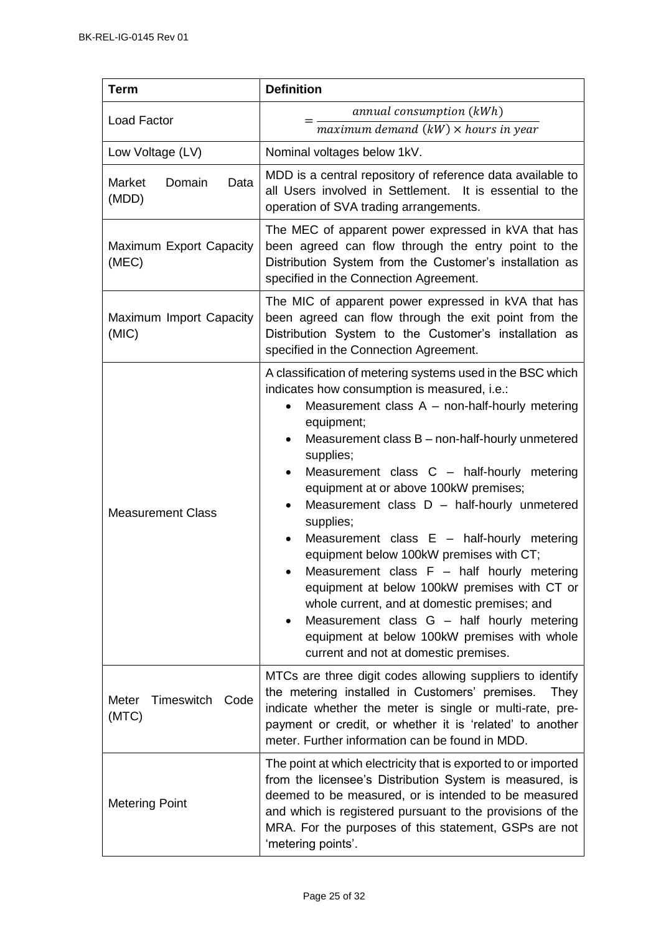| <b>Term</b>                          | <b>Definition</b>                                                                                                                                                                                                                                                                                                                                                                                                                                                                                                                                                                                                                                                                                                                                                                 |
|--------------------------------------|-----------------------------------------------------------------------------------------------------------------------------------------------------------------------------------------------------------------------------------------------------------------------------------------------------------------------------------------------------------------------------------------------------------------------------------------------------------------------------------------------------------------------------------------------------------------------------------------------------------------------------------------------------------------------------------------------------------------------------------------------------------------------------------|
| <b>Load Factor</b>                   | annual consumption (kWh)<br>maximum demand $(kW) \times$ hours in year                                                                                                                                                                                                                                                                                                                                                                                                                                                                                                                                                                                                                                                                                                            |
| Low Voltage (LV)                     | Nominal voltages below 1kV.                                                                                                                                                                                                                                                                                                                                                                                                                                                                                                                                                                                                                                                                                                                                                       |
| Market<br>Domain<br>Data<br>(MDD)    | MDD is a central repository of reference data available to<br>all Users involved in Settlement. It is essential to the<br>operation of SVA trading arrangements.                                                                                                                                                                                                                                                                                                                                                                                                                                                                                                                                                                                                                  |
| Maximum Export Capacity<br>(MEC)     | The MEC of apparent power expressed in kVA that has<br>been agreed can flow through the entry point to the<br>Distribution System from the Customer's installation as<br>specified in the Connection Agreement.                                                                                                                                                                                                                                                                                                                                                                                                                                                                                                                                                                   |
| Maximum Import Capacity<br>(MIC)     | The MIC of apparent power expressed in kVA that has<br>been agreed can flow through the exit point from the<br>Distribution System to the Customer's installation as<br>specified in the Connection Agreement.                                                                                                                                                                                                                                                                                                                                                                                                                                                                                                                                                                    |
| <b>Measurement Class</b>             | A classification of metering systems used in the BSC which<br>indicates how consumption is measured, i.e.:<br>Measurement class $A$ – non-half-hourly metering<br>equipment;<br>Measurement class B – non-half-hourly unmetered<br>supplies;<br>Measurement class C - half-hourly metering<br>equipment at or above 100kW premises;<br>Measurement class $D -$ half-hourly unmetered<br>supplies;<br>Measurement class $E -$ half-hourly metering<br>equipment below 100kW premises with CT;<br>Measurement class F - half hourly metering<br>equipment at below 100kW premises with CT or<br>whole current, and at domestic premises; and<br>Measurement class G - half hourly metering<br>equipment at below 100kW premises with whole<br>current and not at domestic premises. |
| Meter<br>Timeswitch<br>Code<br>(MTC) | MTCs are three digit codes allowing suppliers to identify<br>the metering installed in Customers' premises.<br>They<br>indicate whether the meter is single or multi-rate, pre-<br>payment or credit, or whether it is 'related' to another<br>meter. Further information can be found in MDD.                                                                                                                                                                                                                                                                                                                                                                                                                                                                                    |
| <b>Metering Point</b>                | The point at which electricity that is exported to or imported<br>from the licensee's Distribution System is measured, is<br>deemed to be measured, or is intended to be measured<br>and which is registered pursuant to the provisions of the<br>MRA. For the purposes of this statement, GSPs are not<br>'metering points'.                                                                                                                                                                                                                                                                                                                                                                                                                                                     |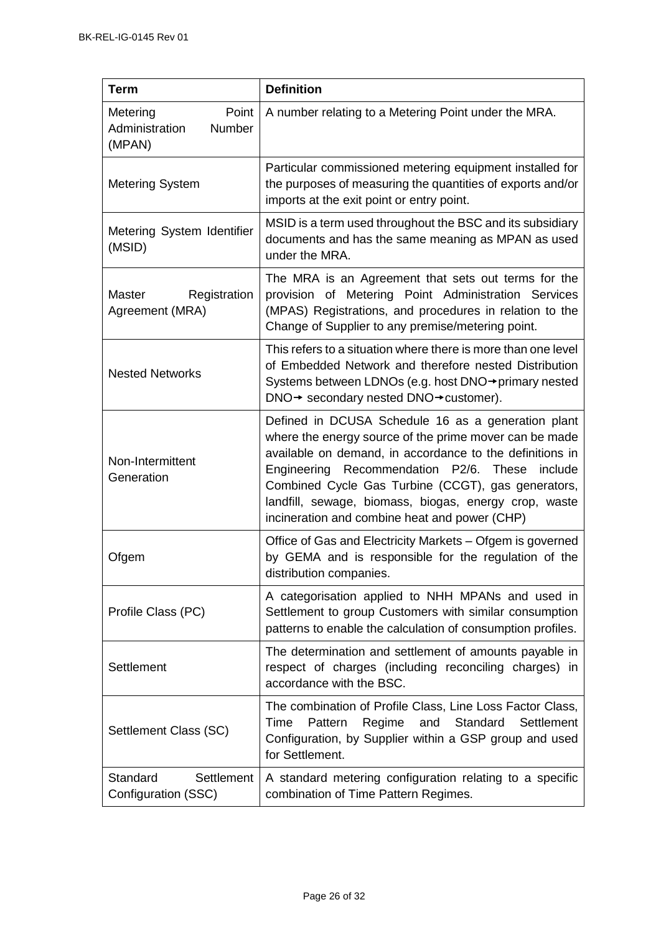| Term                                                    | <b>Definition</b>                                                                                                                                                                                                                                                                                                                                                                             |
|---------------------------------------------------------|-----------------------------------------------------------------------------------------------------------------------------------------------------------------------------------------------------------------------------------------------------------------------------------------------------------------------------------------------------------------------------------------------|
| Point<br>Metering<br>Administration<br>Number<br>(MPAN) | A number relating to a Metering Point under the MRA.                                                                                                                                                                                                                                                                                                                                          |
| <b>Metering System</b>                                  | Particular commissioned metering equipment installed for<br>the purposes of measuring the quantities of exports and/or<br>imports at the exit point or entry point.                                                                                                                                                                                                                           |
| Metering System Identifier<br>(MSID)                    | MSID is a term used throughout the BSC and its subsidiary<br>documents and has the same meaning as MPAN as used<br>under the MRA.                                                                                                                                                                                                                                                             |
| <b>Master</b><br>Registration<br>Agreement (MRA)        | The MRA is an Agreement that sets out terms for the<br>provision of Metering Point Administration Services<br>(MPAS) Registrations, and procedures in relation to the<br>Change of Supplier to any premise/metering point.                                                                                                                                                                    |
| <b>Nested Networks</b>                                  | This refers to a situation where there is more than one level<br>of Embedded Network and therefore nested Distribution<br>Systems between LDNOs (e.g. host DNO→primary nested<br>DNO→ secondary nested DNO→customer).                                                                                                                                                                         |
| Non-Intermittent<br>Generation                          | Defined in DCUSA Schedule 16 as a generation plant<br>where the energy source of the prime mover can be made<br>available on demand, in accordance to the definitions in<br>Engineering Recommendation P2/6. These<br>include<br>Combined Cycle Gas Turbine (CCGT), gas generators,<br>landfill, sewage, biomass, biogas, energy crop, waste<br>incineration and combine heat and power (CHP) |
| Ofgem                                                   | Office of Gas and Electricity Markets - Ofgem is governed<br>by GEMA and is responsible for the regulation of the<br>distribution companies.                                                                                                                                                                                                                                                  |
| Profile Class (PC)                                      | A categorisation applied to NHH MPANs and used in<br>Settlement to group Customers with similar consumption<br>patterns to enable the calculation of consumption profiles.                                                                                                                                                                                                                    |
| Settlement                                              | The determination and settlement of amounts payable in<br>respect of charges (including reconciling charges) in<br>accordance with the BSC.                                                                                                                                                                                                                                                   |
| Settlement Class (SC)                                   | The combination of Profile Class, Line Loss Factor Class,<br>Standard<br>Time<br>Pattern<br>and<br>Settlement<br>Regime<br>Configuration, by Supplier within a GSP group and used<br>for Settlement.                                                                                                                                                                                          |
| Standard<br><b>Settlement</b><br>Configuration (SSC)    | A standard metering configuration relating to a specific<br>combination of Time Pattern Regimes.                                                                                                                                                                                                                                                                                              |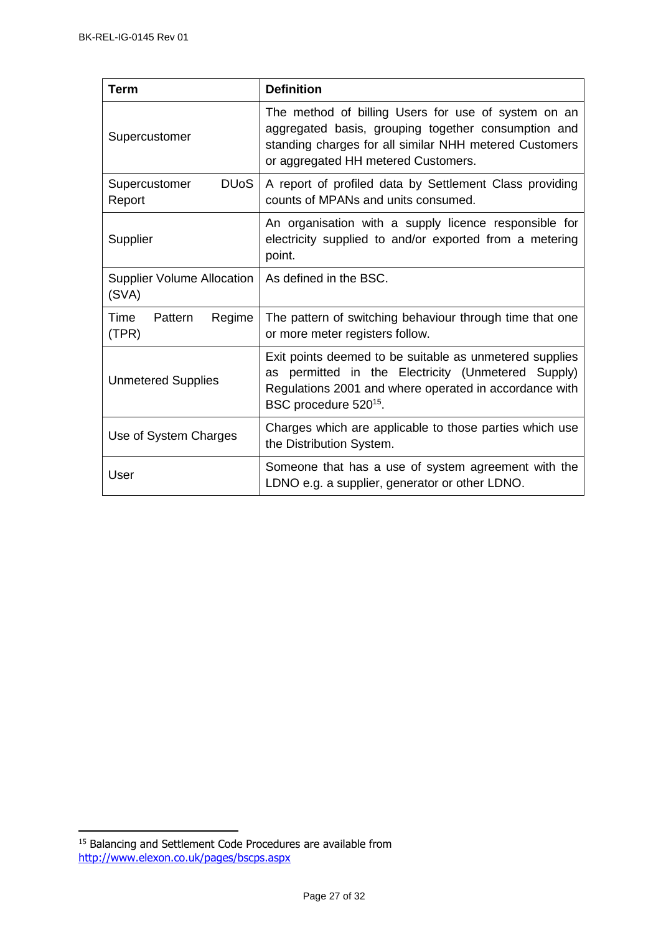| <b>Term</b>                                       | <b>Definition</b>                                                                                                                                                                                            |
|---------------------------------------------------|--------------------------------------------------------------------------------------------------------------------------------------------------------------------------------------------------------------|
| Supercustomer                                     | The method of billing Users for use of system on an<br>aggregated basis, grouping together consumption and<br>standing charges for all similar NHH metered Customers<br>or aggregated HH metered Customers.  |
| <b>DU<sub>o</sub>S</b><br>Supercustomer<br>Report | A report of profiled data by Settlement Class providing<br>counts of MPANs and units consumed.                                                                                                               |
| Supplier                                          | An organisation with a supply licence responsible for<br>electricity supplied to and/or exported from a metering<br>point.                                                                                   |
| <b>Supplier Volume Allocation</b><br>(SVA)        | As defined in the BSC.                                                                                                                                                                                       |
| Regime<br>Time<br>Pattern<br>(TPR)                | The pattern of switching behaviour through time that one<br>or more meter registers follow.                                                                                                                  |
| <b>Unmetered Supplies</b>                         | Exit points deemed to be suitable as unmetered supplies<br>as permitted in the Electricity (Unmetered Supply)<br>Regulations 2001 and where operated in accordance with<br>BSC procedure 520 <sup>15</sup> . |
| Use of System Charges                             | Charges which are applicable to those parties which use<br>the Distribution System.                                                                                                                          |
| User                                              | Someone that has a use of system agreement with the<br>LDNO e.g. a supplier, generator or other LDNO.                                                                                                        |

j

<sup>&</sup>lt;sup>15</sup> Balancing and Settlement Code Procedures are available from <http://www.elexon.co.uk/pages/bscps.aspx>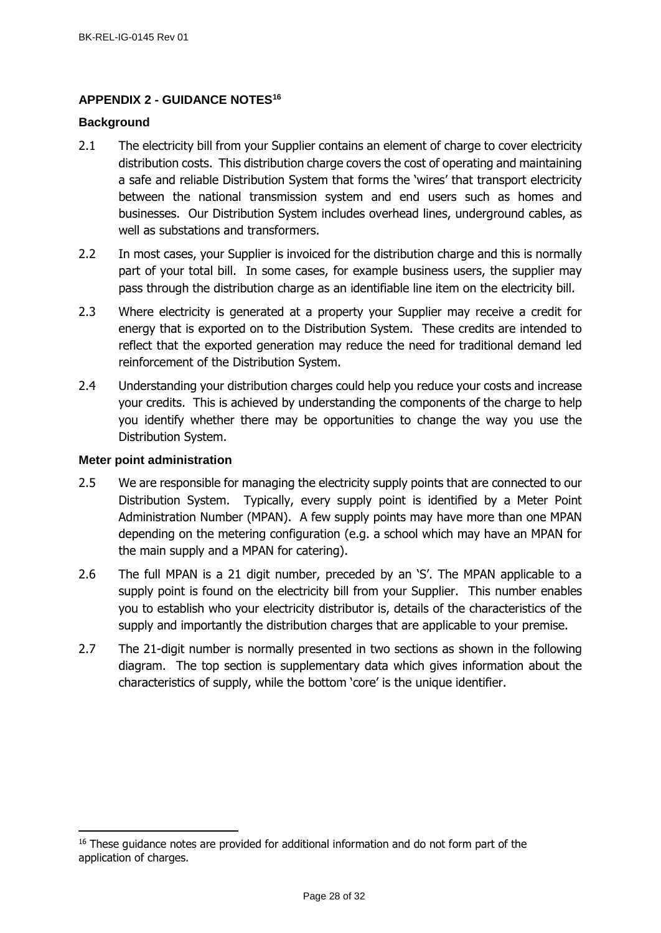# <span id="page-27-0"></span>**APPENDIX 2 - GUIDANCE NOTES<sup>16</sup>**

# <span id="page-27-1"></span>**Background**

- 2.1 The electricity bill from your Supplier contains an element of charge to cover electricity distribution costs. This distribution charge covers the cost of operating and maintaining a safe and reliable Distribution System that forms the 'wires' that transport electricity between the national transmission system and end users such as homes and businesses. Our Distribution System includes overhead lines, underground cables, as well as substations and transformers.
- 2.2 In most cases, your Supplier is invoiced for the distribution charge and this is normally part of your total bill. In some cases, for example business users, the supplier may pass through the distribution charge as an identifiable line item on the electricity bill.
- 2.3 Where electricity is generated at a property your Supplier may receive a credit for energy that is exported on to the Distribution System. These credits are intended to reflect that the exported generation may reduce the need for traditional demand led reinforcement of the Distribution System.
- 2.4 Understanding your distribution charges could help you reduce your costs and increase your credits. This is achieved by understanding the components of the charge to help you identify whether there may be opportunities to change the way you use the Distribution System.

# <span id="page-27-2"></span>**Meter point administration**

j

- 2.5 We are responsible for managing the electricity supply points that are connected to our Distribution System. Typically, every supply point is identified by a Meter Point Administration Number (MPAN). A few supply points may have more than one MPAN depending on the metering configuration (e.g. a school which may have an MPAN for the main supply and a MPAN for catering).
- 2.6 The full MPAN is a 21 digit number, preceded by an 'S'. The MPAN applicable to a supply point is found on the electricity bill from your Supplier. This number enables you to establish who your electricity distributor is, details of the characteristics of the supply and importantly the distribution charges that are applicable to your premise.
- 2.7 The 21-digit number is normally presented in two sections as shown in the following diagram. The top section is supplementary data which gives information about the characteristics of supply, while the bottom 'core' is the unique identifier.

<sup>&</sup>lt;sup>16</sup> These guidance notes are provided for additional information and do not form part of the application of charges.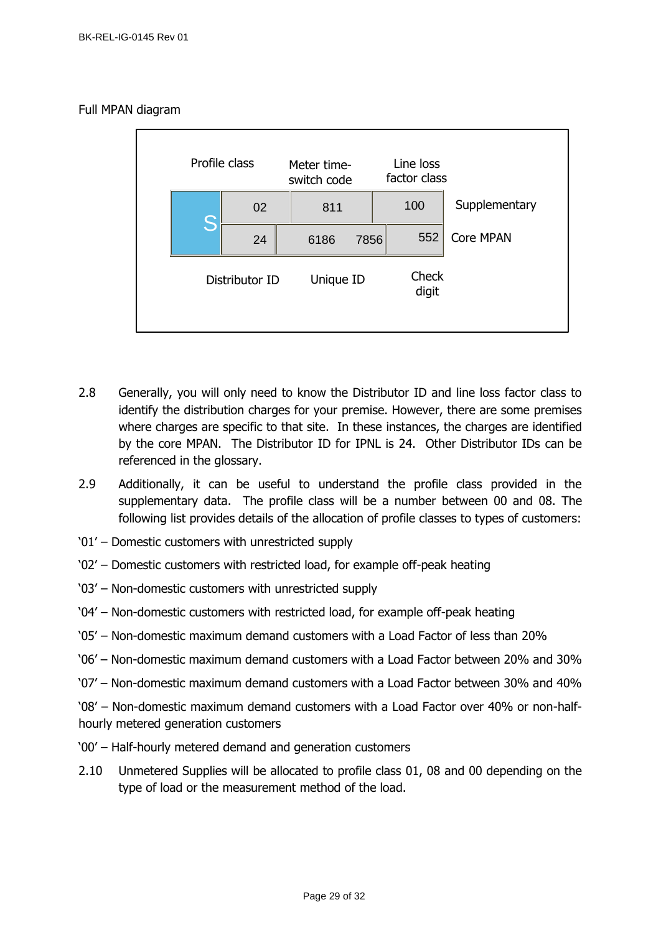# Full MPAN diagram



- 2.8 Generally, you will only need to know the Distributor ID and line loss factor class to identify the distribution charges for your premise. However, there are some premises where charges are specific to that site. In these instances, the charges are identified by the core MPAN. The Distributor ID for IPNL is 24. Other Distributor IDs can be referenced in the glossary.
- 2.9 Additionally, it can be useful to understand the profile class provided in the supplementary data. The profile class will be a number between 00 and 08. The following list provides details of the allocation of profile classes to types of customers:
- '01' Domestic customers with unrestricted supply
- '02' Domestic customers with restricted load, for example off-peak heating
- '03' Non-domestic customers with unrestricted supply
- '04' Non-domestic customers with restricted load, for example off-peak heating
- '05' Non-domestic maximum demand customers with a Load Factor of less than 20%
- '06' Non-domestic maximum demand customers with a Load Factor between 20% and 30%
- '07' Non-domestic maximum demand customers with a Load Factor between 30% and 40%

'08' – Non-domestic maximum demand customers with a Load Factor over 40% or non-halfhourly metered generation customers

- '00' Half-hourly metered demand and generation customers
- 2.10 Unmetered Supplies will be allocated to profile class 01, 08 and 00 depending on the type of load or the measurement method of the load.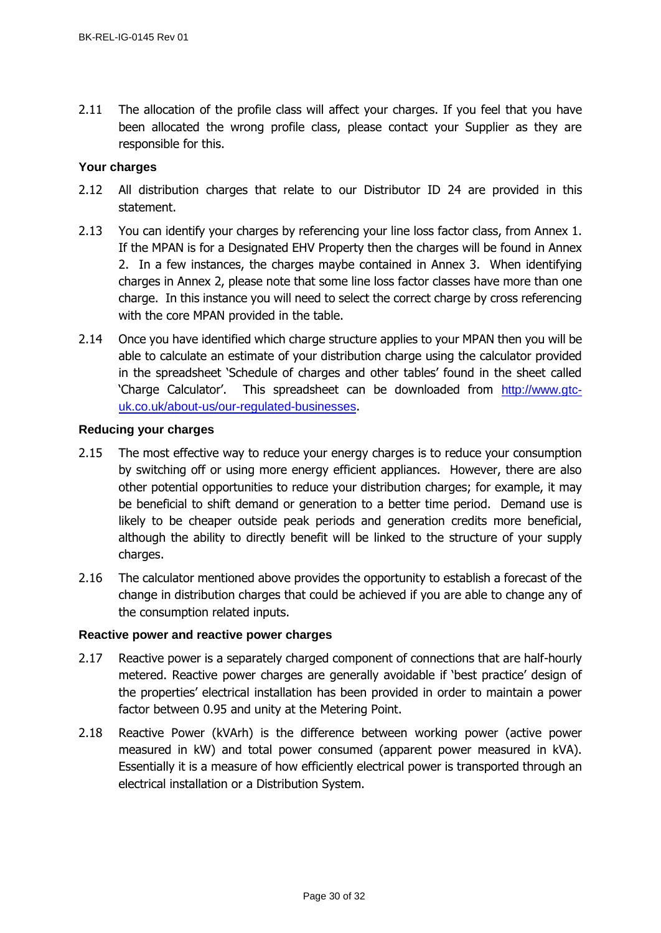2.11 The allocation of the profile class will affect your charges. If you feel that you have been allocated the wrong profile class, please contact your Supplier as they are responsible for this.

# <span id="page-29-0"></span>**Your charges**

- 2.12 All distribution charges that relate to our Distributor ID 24 are provided in this statement.
- 2.13 You can identify your charges by referencing your line loss factor class, from Annex 1. If the MPAN is for a Designated EHV Property then the charges will be found in Annex 2. In a few instances, the charges maybe contained in Annex 3. When identifying charges in Annex 2, please note that some line loss factor classes have more than one charge. In this instance you will need to select the correct charge by cross referencing with the core MPAN provided in the table.
- 2.14 Once you have identified which charge structure applies to your MPAN then you will be able to calculate an estimate of your distribution charge using the calculator provided in the spreadsheet 'Schedule of charges and other tables' found in the sheet called 'Charge Calculator'. This spreadsheet can be downloaded from [http://www.gtc](http://www.gtc-uk.co.uk/about-us/our-regulated-businesses)[uk.co.uk/about-us/our-regulated-businesses](http://www.gtc-uk.co.uk/about-us/our-regulated-businesses).

# <span id="page-29-1"></span>**Reducing your charges**

- 2.15 The most effective way to reduce your energy charges is to reduce your consumption by switching off or using more energy efficient appliances. However, there are also other potential opportunities to reduce your distribution charges; for example, it may be beneficial to shift demand or generation to a better time period. Demand use is likely to be cheaper outside peak periods and generation credits more beneficial, although the ability to directly benefit will be linked to the structure of your supply charges.
- 2.16 The calculator mentioned above provides the opportunity to establish a forecast of the change in distribution charges that could be achieved if you are able to change any of the consumption related inputs.

# <span id="page-29-2"></span>**Reactive power and reactive power charges**

- 2.17 Reactive power is a separately charged component of connections that are half-hourly metered. Reactive power charges are generally avoidable if 'best practice' design of the properties' electrical installation has been provided in order to maintain a power factor between 0.95 and unity at the Metering Point.
- 2.18 Reactive Power (kVArh) is the difference between working power (active power measured in kW) and total power consumed (apparent power measured in kVA). Essentially it is a measure of how efficiently electrical power is transported through an electrical installation or a Distribution System.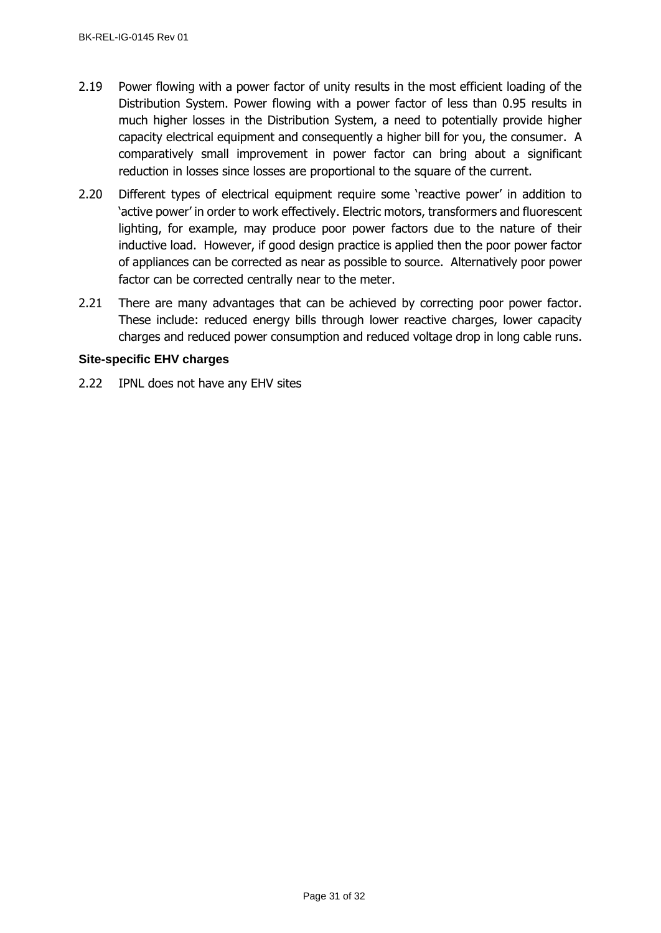- 2.19 Power flowing with a power factor of unity results in the most efficient loading of the Distribution System. Power flowing with a power factor of less than 0.95 results in much higher losses in the Distribution System, a need to potentially provide higher capacity electrical equipment and consequently a higher bill for you, the consumer. A comparatively small improvement in power factor can bring about a significant reduction in losses since losses are proportional to the square of the current.
- 2.20 Different types of electrical equipment require some 'reactive power' in addition to 'active power' in order to work effectively. Electric motors, transformers and fluorescent lighting, for example, may produce poor power factors due to the nature of their inductive load. However, if good design practice is applied then the poor power factor of appliances can be corrected as near as possible to source. Alternatively poor power factor can be corrected centrally near to the meter.
- 2.21 There are many advantages that can be achieved by correcting poor power factor. These include: reduced energy bills through lower reactive charges, lower capacity charges and reduced power consumption and reduced voltage drop in long cable runs.

# <span id="page-30-0"></span>**Site-specific EHV charges**

2.22 IPNL does not have any EHV sites